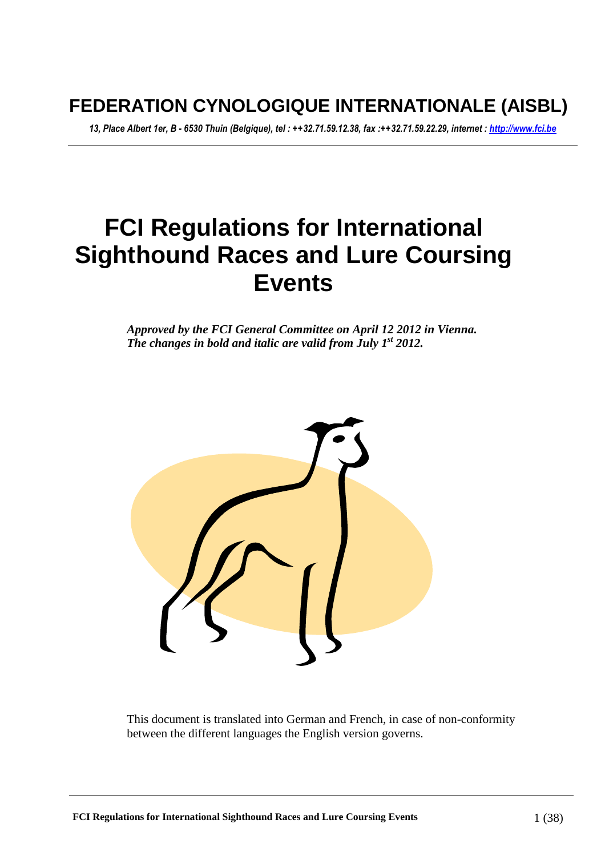# **FEDERATION CYNOLOGIQUE INTERNATIONALE (AISBL)**

*13, Place Albert 1er, B - 6530 Thuin (Belgique), tel : ++32.71.59.12.38, fax :++32.71.59.22.29, internet : http://www.fci.be* 

# **FCI Regulations for International Sighthound Races and Lure Coursing Events**

*Approved by the FCI General Committee on April 12 2012 in Vienna. The changes in bold and italic are valid from July 1st 2012.* 



This document is translated into German and French, in case of non-conformity between the different languages the English version governs.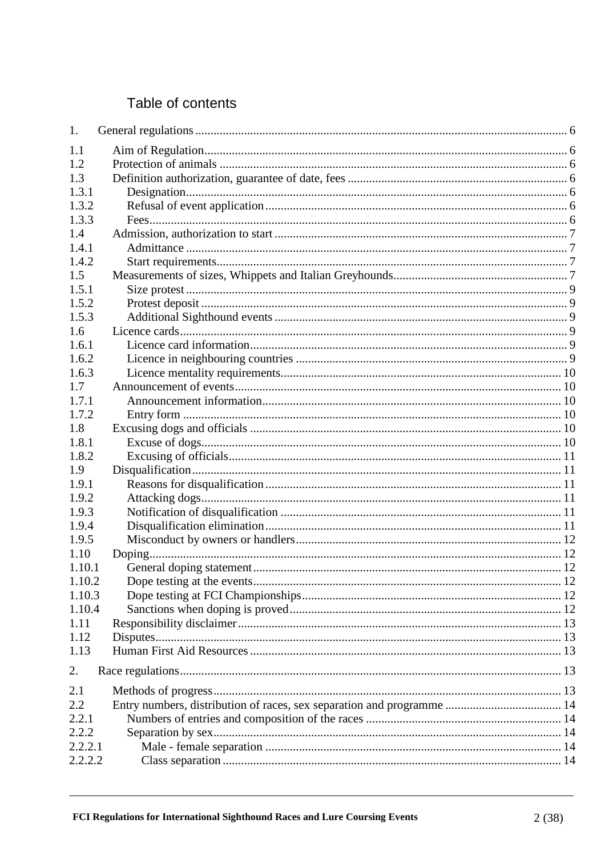# Table of contents

| 1.      |  |
|---------|--|
| 1.1     |  |
| 1.2     |  |
| 1.3     |  |
| 1.3.1   |  |
| 1.3.2   |  |
| 1.3.3   |  |
| 1.4     |  |
| 1.4.1   |  |
| 1.4.2   |  |
| 1.5     |  |
| 1.5.1   |  |
| 1.5.2   |  |
| 1.5.3   |  |
| 1.6     |  |
| 1.6.1   |  |
| 1.6.2   |  |
| 1.6.3   |  |
| 1.7     |  |
| 1.7.1   |  |
| 1.7.2   |  |
| 1.8     |  |
| 1.8.1   |  |
| 1.8.2   |  |
| 1.9     |  |
| 1.9.1   |  |
| 1.9.2   |  |
| 1.9.3   |  |
| 1.9.4   |  |
| 1.9.5   |  |
| 1.10    |  |
| 1.10.1  |  |
| 1.10.2  |  |
| 1.10.3  |  |
| 1.10.4  |  |
| 1.11    |  |
| 1.12    |  |
| 1.13    |  |
| 2.      |  |
| 2.1     |  |
| 2.2     |  |
| 2.2.1   |  |
| 2.2.2   |  |
| 2.2.2.1 |  |
| 2.2.2.2 |  |
|         |  |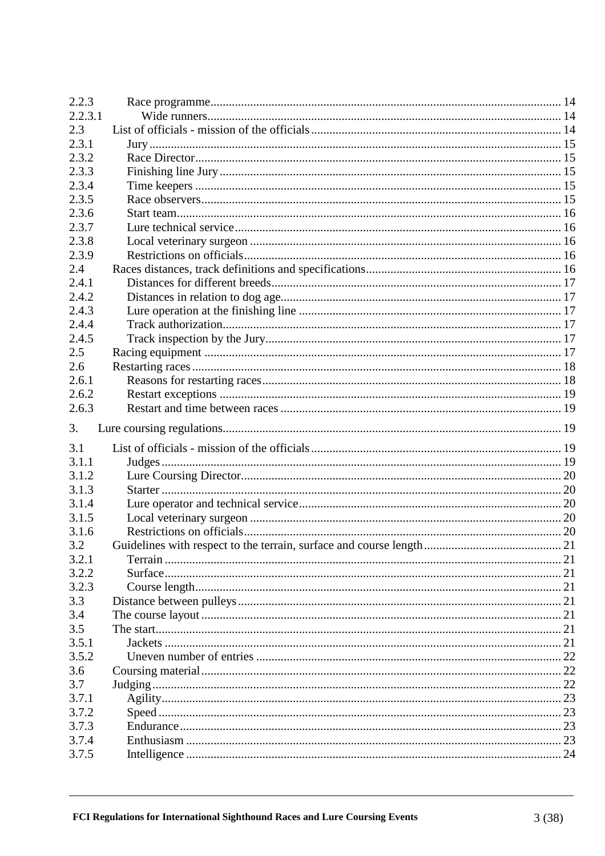| 2.2.3          |  |
|----------------|--|
| 2,2,3,1        |  |
| 2.3            |  |
| 2.3.1          |  |
| 2.3.2          |  |
| 2.3.3          |  |
| 2.3.4          |  |
| 2.3.5          |  |
| 2.3.6          |  |
| 2.3.7          |  |
| 2.3.8          |  |
| 2.3.9          |  |
| 2.4            |  |
| 2.4.1          |  |
| 2.4.2          |  |
| 2.4.3          |  |
| 2.4.4          |  |
| 2.4.5          |  |
| 2.5            |  |
| 2.6            |  |
| 2.6.1          |  |
| 2.6.2          |  |
| 2.6.3          |  |
| 3.             |  |
|                |  |
| 3.1            |  |
| 3.1.1          |  |
| 3.1.2          |  |
| 3.1.3          |  |
| 3.1.4          |  |
| 3.1.5          |  |
| 3.1.6          |  |
| 3.2            |  |
| 3.2.1          |  |
| 3.2.2          |  |
| 3.2.3          |  |
| 3.3            |  |
| 3.4            |  |
| 3.5            |  |
| 3.5.1          |  |
| 3.5.2          |  |
|                |  |
| 3.6            |  |
| 3.7            |  |
| 3.7.1          |  |
| 3.7.2          |  |
| 3.7.3          |  |
| 3.7.4<br>3.7.5 |  |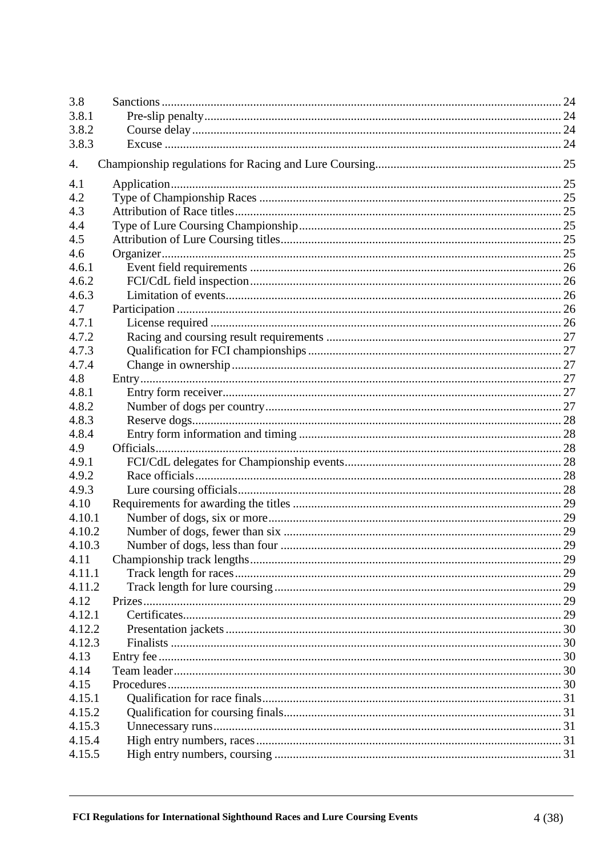| 3.8    |    |
|--------|----|
| 3.8.1  |    |
| 3.8.2  |    |
| 3.8.3  |    |
| 4.     |    |
| 4.1    |    |
| 4.2    |    |
| 4.3    |    |
| 4.4    |    |
| 4.5    |    |
| 4.6    |    |
| 4.6.1  |    |
| 4.6.2  |    |
| 4.6.3  |    |
| 4.7    |    |
| 4.7.1  |    |
| 4.7.2  |    |
| 4.7.3  |    |
| 4.7.4  |    |
| 4.8    |    |
| 4.8.1  |    |
| 4.8.2  |    |
| 4.8.3  |    |
| 4.8.4  |    |
| 4.9    |    |
| 4.9.1  |    |
| 4.9.2  |    |
| 4.9.3  |    |
| 4.10   |    |
| 4.10.1 |    |
| 4.10.2 |    |
| 4.10.3 | 29 |
| 4.11   |    |
| 4.11.1 |    |
| 4.11.2 |    |
| 4.12   |    |
| 4.12.1 |    |
| 4.12.2 |    |
| 4.12.3 |    |
| 4.13   |    |
| 4.14   |    |
| 4.15   |    |
| 4.15.1 |    |
| 4.15.2 |    |
| 4.15.3 |    |
| 4.15.4 |    |
| 4.15.5 |    |
|        |    |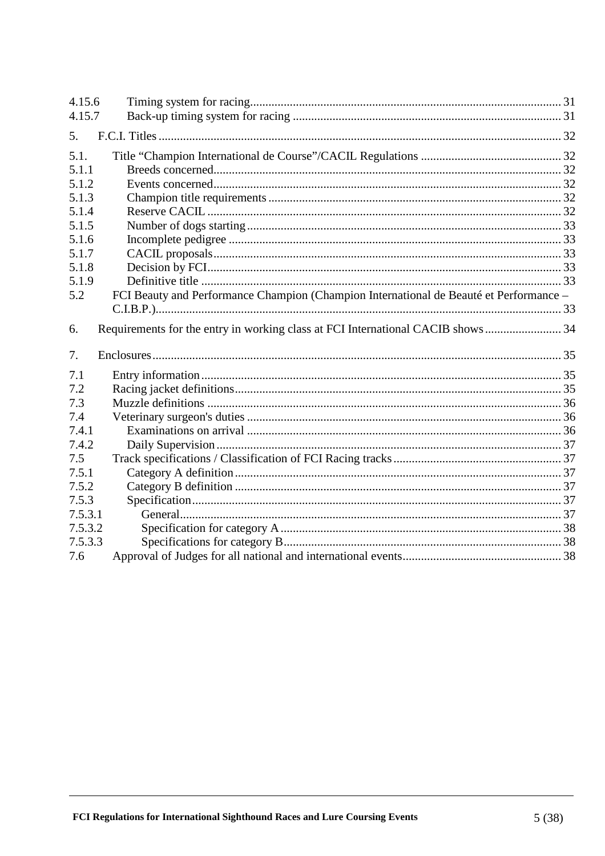| 4.15.6<br>4.15.7 |                                                                                        |  |
|------------------|----------------------------------------------------------------------------------------|--|
| 5.               |                                                                                        |  |
| 5.1.             |                                                                                        |  |
| 5.1.1            |                                                                                        |  |
| 5.1.2<br>5.1.3   |                                                                                        |  |
| 5.1.4            |                                                                                        |  |
| 5.1.5            |                                                                                        |  |
| 5.1.6            |                                                                                        |  |
| 5.1.7            |                                                                                        |  |
| 5.1.8            |                                                                                        |  |
| 5.1.9            |                                                                                        |  |
| 5.2              | FCI Beauty and Performance Champion (Champion International de Beauté et Performance - |  |
|                  |                                                                                        |  |
| 6.               | Requirements for the entry in working class at FCI International CACIB shows 34        |  |
|                  |                                                                                        |  |
| 7.               |                                                                                        |  |
| 7.1              |                                                                                        |  |
| 7.2              |                                                                                        |  |
| 7.3              |                                                                                        |  |
| 7.4              |                                                                                        |  |
| 7.4.1            |                                                                                        |  |
| 7.4.2            |                                                                                        |  |
| 7.5              |                                                                                        |  |
| 7.5.1            |                                                                                        |  |
| 7.5.2            |                                                                                        |  |
| 7.5.3            |                                                                                        |  |
| 7.5.3.1          |                                                                                        |  |
| 7.5.3.2          |                                                                                        |  |
| 7.5.3.3<br>7.6   |                                                                                        |  |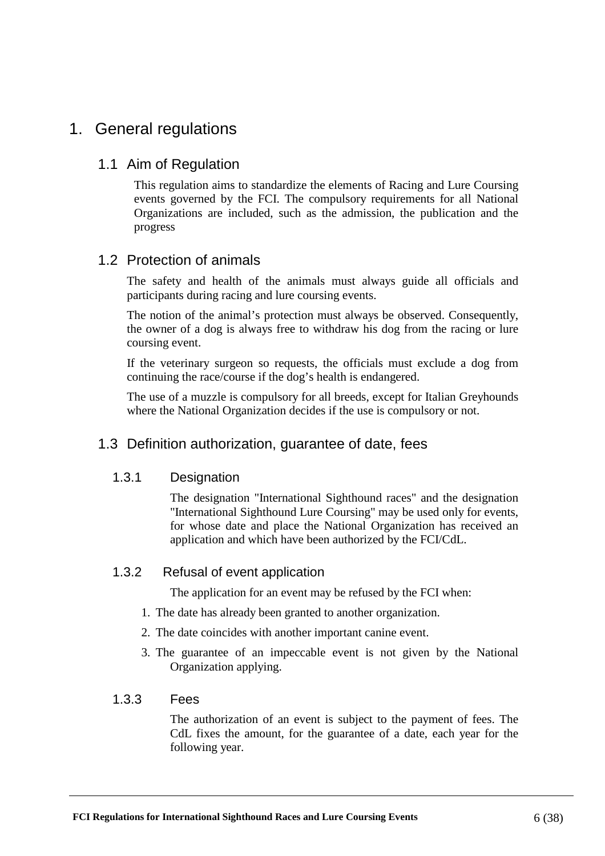# 1. General regulations

### 1.1 Aim of Regulation

This regulation aims to standardize the elements of Racing and Lure Coursing events governed by the FCI. The compulsory requirements for all National Organizations are included, such as the admission, the publication and the progress

### 1.2 Protection of animals

The safety and health of the animals must always guide all officials and participants during racing and lure coursing events.

The notion of the animal's protection must always be observed. Consequently, the owner of a dog is always free to withdraw his dog from the racing or lure coursing event.

If the veterinary surgeon so requests, the officials must exclude a dog from continuing the race/course if the dog's health is endangered.

The use of a muzzle is compulsory for all breeds, except for Italian Greyhounds where the National Organization decides if the use is compulsory or not.

#### 1.3 Definition authorization, guarantee of date, fees

#### 1.3.1 Designation

The designation "International Sighthound races" and the designation "International Sighthound Lure Coursing" may be used only for events, for whose date and place the National Organization has received an application and which have been authorized by the FCI/CdL.

#### 1.3.2 Refusal of event application

The application for an event may be refused by the FCI when:

- 1. The date has already been granted to another organization.
- 2. The date coincides with another important canine event.
- 3. The guarantee of an impeccable event is not given by the National Organization applying.

#### 1.3.3 Fees

The authorization of an event is subject to the payment of fees. The CdL fixes the amount, for the guarantee of a date, each year for the following year.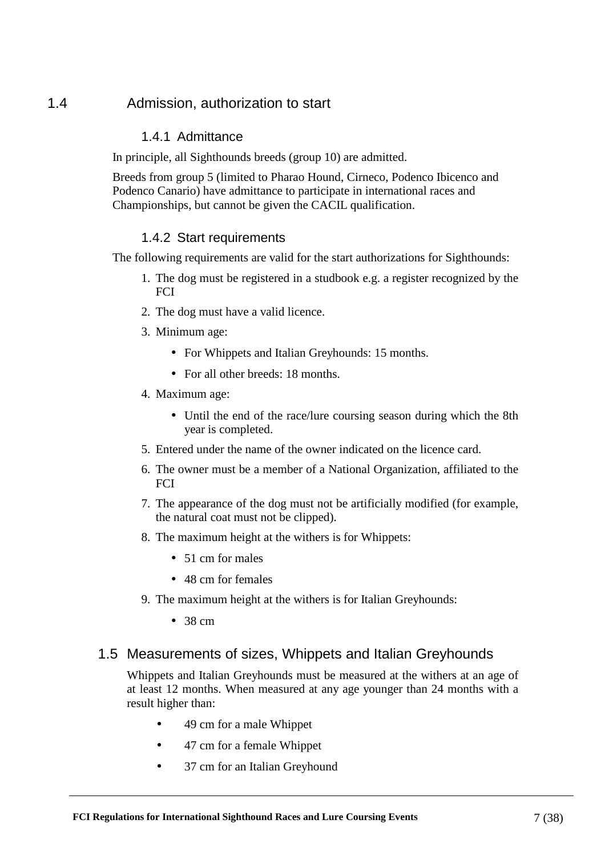# 1.4 Admission, authorization to start

#### 1.4.1 Admittance

In principle, all Sighthounds breeds (group 10) are admitted.

Breeds from group 5 (limited to Pharao Hound, Cirneco, Podenco Ibicenco and Podenco Canario) have admittance to participate in international races and Championships, but cannot be given the CACIL qualification.

#### 1.4.2 Start requirements

The following requirements are valid for the start authorizations for Sighthounds:

- 1. The dog must be registered in a studbook e.g. a register recognized by the **FCI**
- 2. The dog must have a valid licence.
- 3. Minimum age:
	- For Whippets and Italian Greyhounds: 15 months.
	- For all other breeds: 18 months.
- 4. Maximum age:
	- Until the end of the race/lure coursing season during which the 8th year is completed.
- 5. Entered under the name of the owner indicated on the licence card.
- 6. The owner must be a member of a National Organization, affiliated to the **FCI**
- 7. The appearance of the dog must not be artificially modified (for example, the natural coat must not be clipped).
- 8. The maximum height at the withers is for Whippets:
	- 51 cm for males
	- 48 cm for females
- 9. The maximum height at the withers is for Italian Greyhounds:
	- 38 cm

#### 1.5 Measurements of sizes, Whippets and Italian Greyhounds

Whippets and Italian Greyhounds must be measured at the withers at an age of at least 12 months. When measured at any age younger than 24 months with a result higher than:

- 49 cm for a male Whippet
- 47 cm for a female Whippet
- 37 cm for an Italian Greyhound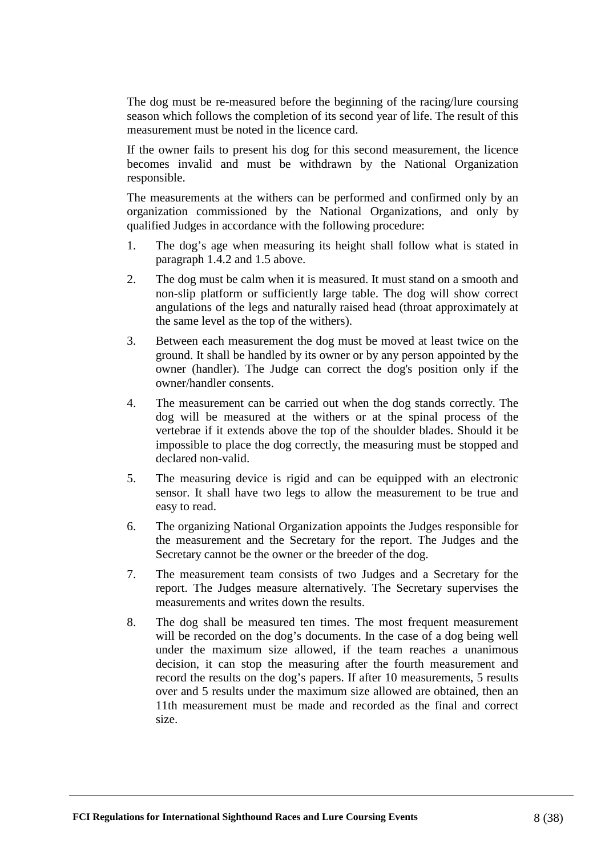The dog must be re-measured before the beginning of the racing/lure coursing season which follows the completion of its second year of life. The result of this measurement must be noted in the licence card.

If the owner fails to present his dog for this second measurement, the licence becomes invalid and must be withdrawn by the National Organization responsible.

The measurements at the withers can be performed and confirmed only by an organization commissioned by the National Organizations, and only by qualified Judges in accordance with the following procedure:

- 1. The dog's age when measuring its height shall follow what is stated in paragraph 1.4.2 and 1.5 above.
- 2. The dog must be calm when it is measured. It must stand on a smooth and non-slip platform or sufficiently large table. The dog will show correct angulations of the legs and naturally raised head (throat approximately at the same level as the top of the withers).
- 3. Between each measurement the dog must be moved at least twice on the ground. It shall be handled by its owner or by any person appointed by the owner (handler). The Judge can correct the dog's position only if the owner/handler consents.
- 4. The measurement can be carried out when the dog stands correctly. The dog will be measured at the withers or at the spinal process of the vertebrae if it extends above the top of the shoulder blades. Should it be impossible to place the dog correctly, the measuring must be stopped and declared non-valid.
- 5. The measuring device is rigid and can be equipped with an electronic sensor. It shall have two legs to allow the measurement to be true and easy to read.
- 6. The organizing National Organization appoints the Judges responsible for the measurement and the Secretary for the report. The Judges and the Secretary cannot be the owner or the breeder of the dog.
- 7. The measurement team consists of two Judges and a Secretary for the report. The Judges measure alternatively. The Secretary supervises the measurements and writes down the results.
- 8. The dog shall be measured ten times. The most frequent measurement will be recorded on the dog's documents. In the case of a dog being well under the maximum size allowed, if the team reaches a unanimous decision, it can stop the measuring after the fourth measurement and record the results on the dog's papers. If after 10 measurements, 5 results over and 5 results under the maximum size allowed are obtained, then an 11th measurement must be made and recorded as the final and correct size.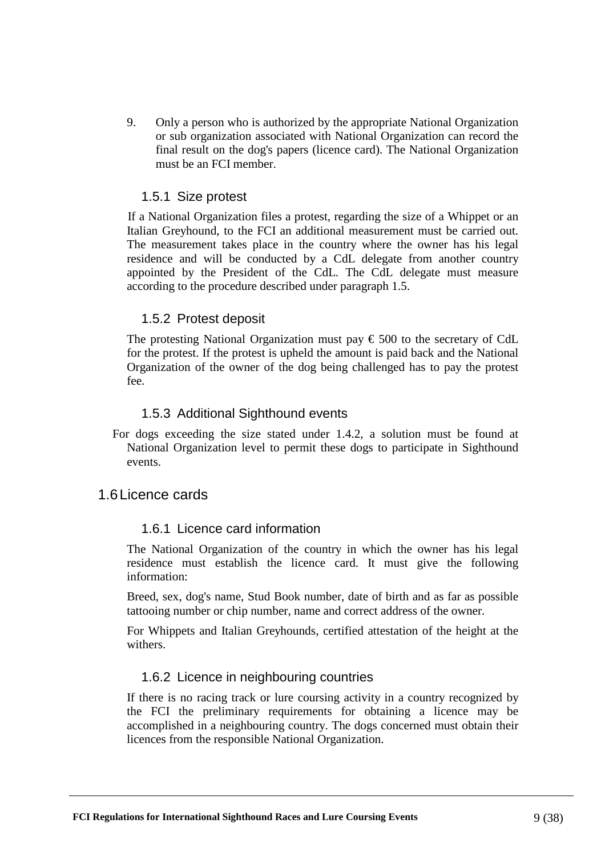9. Only a person who is authorized by the appropriate National Organization or sub organization associated with National Organization can record the final result on the dog's papers (licence card). The National Organization must be an FCI member.

#### 1.5.1 Size protest

 If a National Organization files a protest, regarding the size of a Whippet or an Italian Greyhound, to the FCI an additional measurement must be carried out. The measurement takes place in the country where the owner has his legal residence and will be conducted by a CdL delegate from another country appointed by the President of the CdL. The CdL delegate must measure according to the procedure described under paragraph 1.5.

#### 1.5.2 Protest deposit

The protesting National Organization must pay  $\epsilon$  500 to the secretary of CdL for the protest. If the protest is upheld the amount is paid back and the National Organization of the owner of the dog being challenged has to pay the protest fee.

#### 1.5.3 Additional Sighthound events

For dogs exceeding the size stated under 1.4.2, a solution must be found at National Organization level to permit these dogs to participate in Sighthound events.

#### 1.6 Licence cards

#### 1.6.1 Licence card information

The National Organization of the country in which the owner has his legal residence must establish the licence card. It must give the following information:

Breed, sex, dog's name, Stud Book number, date of birth and as far as possible tattooing number or chip number, name and correct address of the owner.

For Whippets and Italian Greyhounds, certified attestation of the height at the withers.

#### 1.6.2 Licence in neighbouring countries

If there is no racing track or lure coursing activity in a country recognized by the FCI the preliminary requirements for obtaining a licence may be accomplished in a neighbouring country. The dogs concerned must obtain their licences from the responsible National Organization.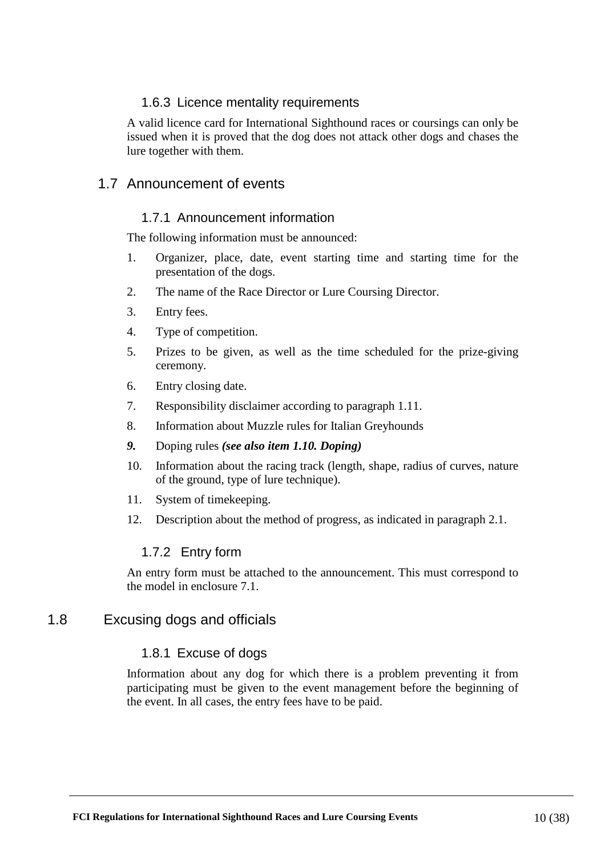#### 1.6.3 Licence mentality requirements

A valid licence card for International Sighthound races or coursings can only be issued when it is proved that the dog does not attack other dogs and chases the lure together with them.

### 1.7 Announcement of events

#### 1.7.1 Announcement information

The following information must be announced:

- 1. Organizer, place, date, event starting time and starting time for the presentation of the dogs.
- 2. The name of the Race Director or Lure Coursing Director.
- 3. Entry fees.
- 4. Type of competition.
- 5. Prizes to be given, as well as the time scheduled for the prize-giving ceremony.
- 6. Entry closing date.
- 7. Responsibility disclaimer according to paragraph 1.11.
- 8. Information about Muzzle rules for Italian Greyhounds
- *9.* Doping rules *(see also item 1.10. Doping)*
- 10. Information about the racing track (length, shape, radius of curves, nature of the ground, type of lure technique).
- 11. System of timekeeping.
- 12. Description about the method of progress, as indicated in paragraph 2.1.

#### 1.7.2 Entry form

An entry form must be attached to the announcement. This must correspond to the model in enclosure 7.1.

#### 1.8 Excusing dogs and officials

#### 1.8.1 Excuse of dogs

Information about any dog for which there is a problem preventing it from participating must be given to the event management before the beginning of the event. In all cases, the entry fees have to be paid.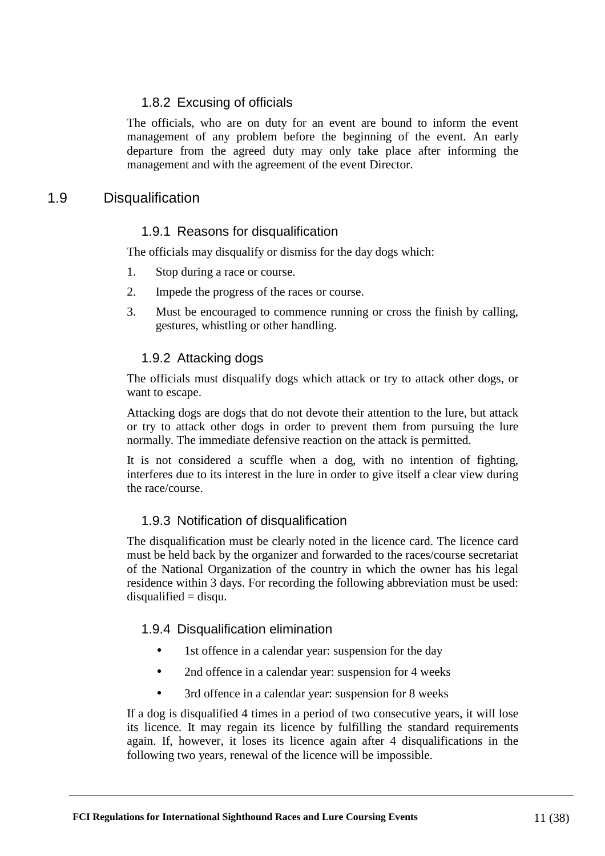### 1.8.2 Excusing of officials

The officials, who are on duty for an event are bound to inform the event management of any problem before the beginning of the event. An early departure from the agreed duty may only take place after informing the management and with the agreement of the event Director.

### 1.9 Disqualification

#### 1.9.1 Reasons for disqualification

The officials may disqualify or dismiss for the day dogs which:

- 1. Stop during a race or course.
- 2. Impede the progress of the races or course.
- 3. Must be encouraged to commence running or cross the finish by calling, gestures, whistling or other handling.

#### 1.9.2 Attacking dogs

The officials must disqualify dogs which attack or try to attack other dogs, or want to escape.

Attacking dogs are dogs that do not devote their attention to the lure, but attack or try to attack other dogs in order to prevent them from pursuing the lure normally. The immediate defensive reaction on the attack is permitted.

It is not considered a scuffle when a dog, with no intention of fighting, interferes due to its interest in the lure in order to give itself a clear view during the race/course.

#### 1.9.3 Notification of disqualification

The disqualification must be clearly noted in the licence card. The licence card must be held back by the organizer and forwarded to the races/course secretariat of the National Organization of the country in which the owner has his legal residence within 3 days. For recording the following abbreviation must be used:  $disqualified = disqu.$ 

#### 1.9.4 Disqualification elimination

- 1st offence in a calendar year: suspension for the day
- 2nd offence in a calendar year: suspension for 4 weeks
- 3rd offence in a calendar year: suspension for 8 weeks

If a dog is disqualified 4 times in a period of two consecutive years, it will lose its licence. It may regain its licence by fulfilling the standard requirements again. If, however, it loses its licence again after 4 disqualifications in the following two years, renewal of the licence will be impossible.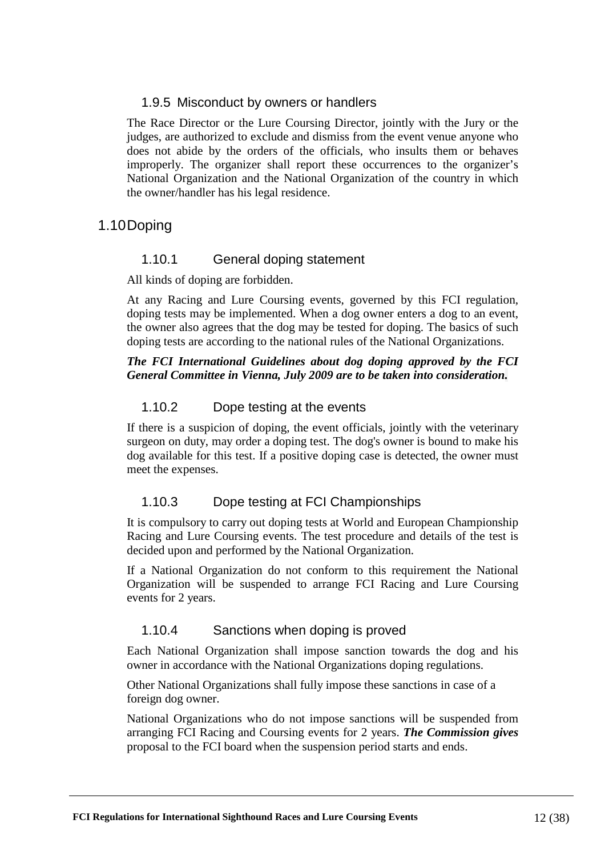#### 1.9.5 Misconduct by owners or handlers

The Race Director or the Lure Coursing Director, jointly with the Jury or the judges, are authorized to exclude and dismiss from the event venue anyone who does not abide by the orders of the officials, who insults them or behaves improperly. The organizer shall report these occurrences to the organizer's National Organization and the National Organization of the country in which the owner/handler has his legal residence.

# 1.10 Doping

#### 1.10.1 General doping statement

All kinds of doping are forbidden.

At any Racing and Lure Coursing events, governed by this FCI regulation, doping tests may be implemented. When a dog owner enters a dog to an event, the owner also agrees that the dog may be tested for doping. The basics of such doping tests are according to the national rules of the National Organizations.

#### *The FCI International Guidelines about dog doping approved by the FCI General Committee in Vienna, July 2009 are to be taken into consideration.*

### 1.10.2 Dope testing at the events

If there is a suspicion of doping, the event officials, jointly with the veterinary surgeon on duty, may order a doping test. The dog's owner is bound to make his dog available for this test. If a positive doping case is detected, the owner must meet the expenses.

# 1.10.3 Dope testing at FCI Championships

It is compulsory to carry out doping tests at World and European Championship Racing and Lure Coursing events. The test procedure and details of the test is decided upon and performed by the National Organization.

If a National Organization do not conform to this requirement the National Organization will be suspended to arrange FCI Racing and Lure Coursing events for 2 years.

# 1.10.4 Sanctions when doping is proved

Each National Organization shall impose sanction towards the dog and his owner in accordance with the National Organizations doping regulations.

Other National Organizations shall fully impose these sanctions in case of a foreign dog owner.

National Organizations who do not impose sanctions will be suspended from arranging FCI Racing and Coursing events for 2 years. *The Commission gives*  proposal to the FCI board when the suspension period starts and ends.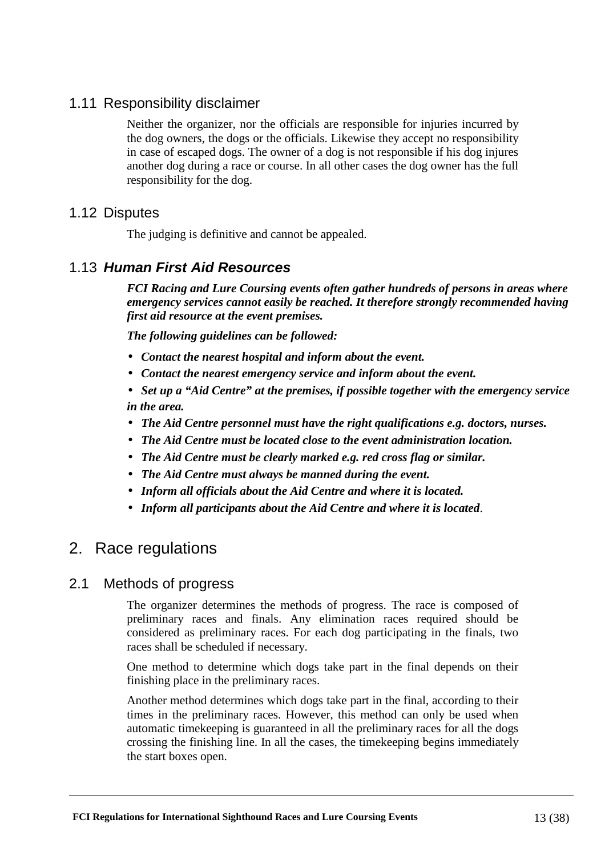# 1.11 Responsibility disclaimer

Neither the organizer, nor the officials are responsible for injuries incurred by the dog owners, the dogs or the officials. Likewise they accept no responsibility in case of escaped dogs. The owner of a dog is not responsible if his dog injures another dog during a race or course. In all other cases the dog owner has the full responsibility for the dog.

#### 1.12 Disputes

The judging is definitive and cannot be appealed.

### 1.13 **Human First Aid Resources**

*FCI Racing and Lure Coursing events often gather hundreds of persons in areas where emergency services cannot easily be reached. It therefore strongly recommended having first aid resource at the event premises.* 

*The following guidelines can be followed:* 

- *Contact the nearest hospital and inform about the event.*
- *Contact the nearest emergency service and inform about the event.*

• *Set up a "Aid Centre" at the premises, if possible together with the emergency service in the area.* 

- *The Aid Centre personnel must have the right qualifications e.g. doctors, nurses.*
- *The Aid Centre must be located close to the event administration location.*
- *The Aid Centre must be clearly marked e.g. red cross flag or similar.*
- *The Aid Centre must always be manned during the event.*
- *Inform all officials about the Aid Centre and where it is located.*
- *Inform all participants about the Aid Centre and where it is located*.

# 2. Race regulations

#### 2.1 Methods of progress

The organizer determines the methods of progress. The race is composed of preliminary races and finals. Any elimination races required should be considered as preliminary races. For each dog participating in the finals, two races shall be scheduled if necessary.

One method to determine which dogs take part in the final depends on their finishing place in the preliminary races.

Another method determines which dogs take part in the final, according to their times in the preliminary races. However, this method can only be used when automatic timekeeping is guaranteed in all the preliminary races for all the dogs crossing the finishing line. In all the cases, the timekeeping begins immediately the start boxes open.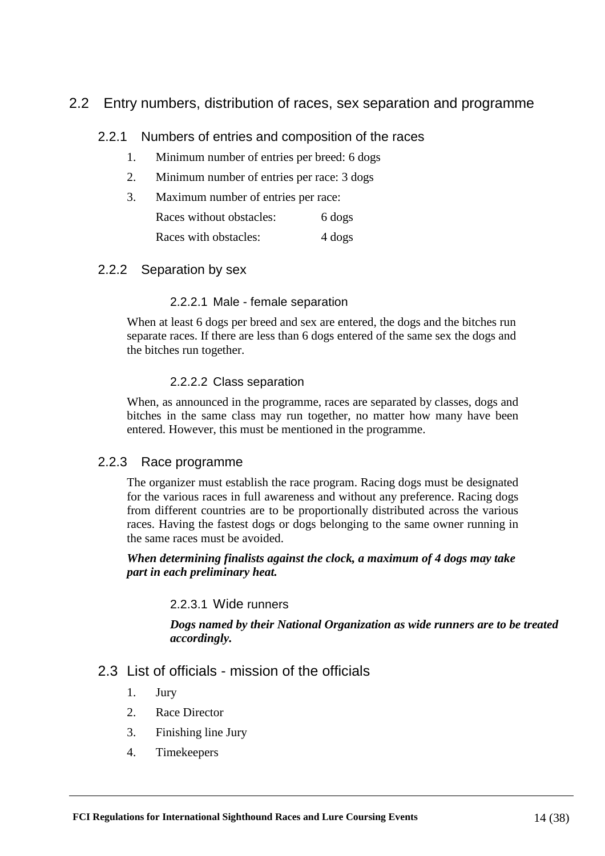# 2.2 Entry numbers, distribution of races, sex separation and programme

#### 2.2.1 Numbers of entries and composition of the races

- 1. Minimum number of entries per breed: 6 dogs
- 2. Minimum number of entries per race: 3 dogs
- 3. Maximum number of entries per race:

| Races without obstacles: | 6 dogs |
|--------------------------|--------|
| Races with obstacles:    | 4 dogs |

#### 2.2.2 Separation by sex

#### 2.2.2.1 Male - female separation

When at least 6 dogs per breed and sex are entered, the dogs and the bitches run separate races. If there are less than 6 dogs entered of the same sex the dogs and the bitches run together.

#### 2.2.2.2 Class separation

When, as announced in the programme, races are separated by classes, dogs and bitches in the same class may run together, no matter how many have been entered. However, this must be mentioned in the programme.

#### 2.2.3 Race programme

The organizer must establish the race program. Racing dogs must be designated for the various races in full awareness and without any preference. Racing dogs from different countries are to be proportionally distributed across the various races. Having the fastest dogs or dogs belonging to the same owner running in the same races must be avoided.

*When determining finalists against the clock, a maximum of 4 dogs may take part in each preliminary heat.* 

2.2.3.1 Wide runners

*Dogs named by their National Organization as wide runners are to be treated accordingly.* 

#### 2.3 List of officials - mission of the officials

- 1. Jury
- 2. Race Director
- 3. Finishing line Jury
- 4. Timekeepers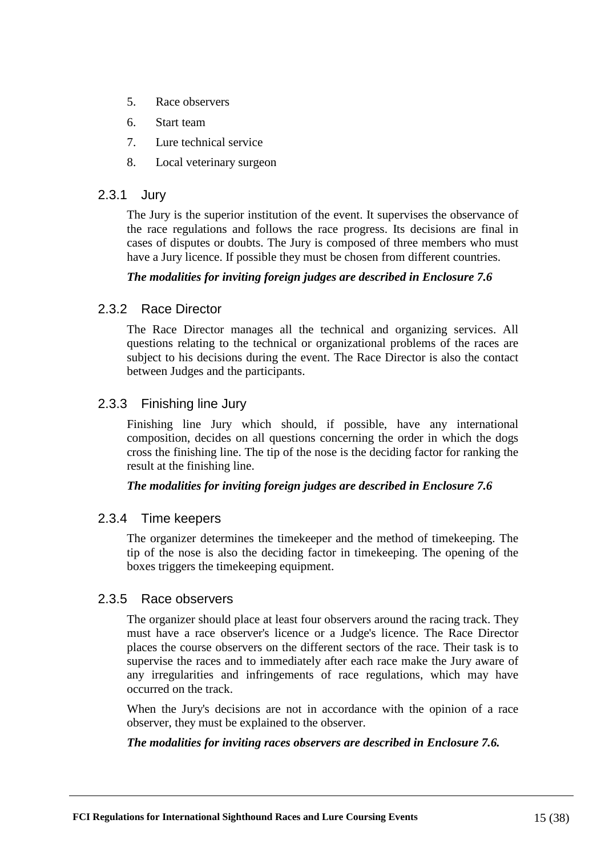- 5. Race observers
- 6. Start team
- 7. Lure technical service
- 8. Local veterinary surgeon

#### 2.3.1 Jury

The Jury is the superior institution of the event. It supervises the observance of the race regulations and follows the race progress. Its decisions are final in cases of disputes or doubts. The Jury is composed of three members who must have a Jury licence. If possible they must be chosen from different countries.

#### *The modalities for inviting foreign judges are described in Enclosure 7.6*

#### 2.3.2 Race Director

The Race Director manages all the technical and organizing services. All questions relating to the technical or organizational problems of the races are subject to his decisions during the event. The Race Director is also the contact between Judges and the participants.

#### 2.3.3 Finishing line Jury

Finishing line Jury which should, if possible, have any international composition, decides on all questions concerning the order in which the dogs cross the finishing line. The tip of the nose is the deciding factor for ranking the result at the finishing line.

#### *The modalities for inviting foreign judges are described in Enclosure 7.6*

#### 2.3.4 Time keepers

The organizer determines the timekeeper and the method of timekeeping. The tip of the nose is also the deciding factor in timekeeping. The opening of the boxes triggers the timekeeping equipment.

#### 2.3.5 Race observers

The organizer should place at least four observers around the racing track. They must have a race observer's licence or a Judge's licence. The Race Director places the course observers on the different sectors of the race. Their task is to supervise the races and to immediately after each race make the Jury aware of any irregularities and infringements of race regulations, which may have occurred on the track.

When the Jury's decisions are not in accordance with the opinion of a race observer, they must be explained to the observer.

#### *The modalities for inviting races observers are described in Enclosure 7.6.*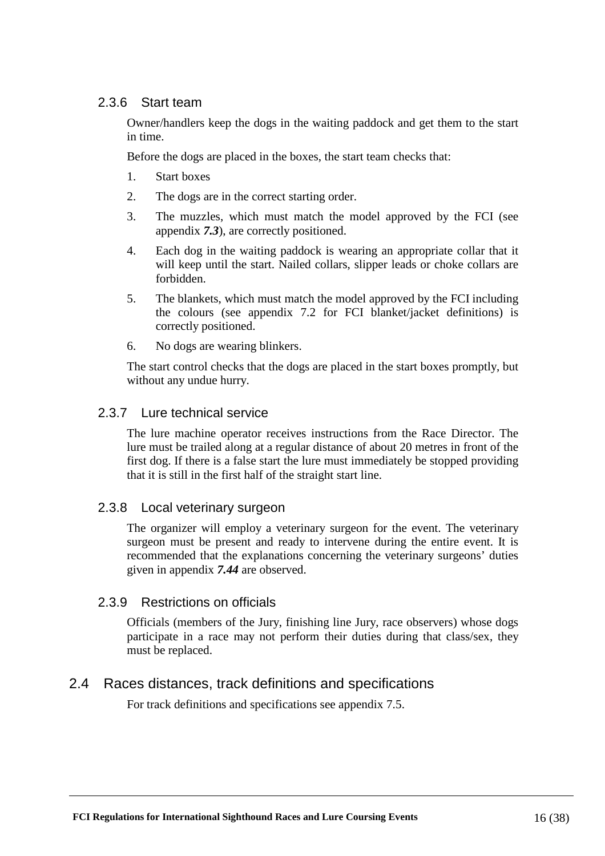#### 2.3.6 Start team

Owner/handlers keep the dogs in the waiting paddock and get them to the start in time.

Before the dogs are placed in the boxes, the start team checks that:

- 1. Start boxes
- 2. The dogs are in the correct starting order.
- 3. The muzzles, which must match the model approved by the FCI (see appendix *7.3*), are correctly positioned.
- 4. Each dog in the waiting paddock is wearing an appropriate collar that it will keep until the start. Nailed collars, slipper leads or choke collars are forbidden.
- 5. The blankets, which must match the model approved by the FCI including the colours (see appendix 7.2 for FCI blanket/jacket definitions) is correctly positioned.
- 6. No dogs are wearing blinkers.

The start control checks that the dogs are placed in the start boxes promptly, but without any undue hurry.

#### 2.3.7 Lure technical service

The lure machine operator receives instructions from the Race Director. The lure must be trailed along at a regular distance of about 20 metres in front of the first dog. If there is a false start the lure must immediately be stopped providing that it is still in the first half of the straight start line.

#### 2.3.8 Local veterinary surgeon

The organizer will employ a veterinary surgeon for the event. The veterinary surgeon must be present and ready to intervene during the entire event. It is recommended that the explanations concerning the veterinary surgeons' duties given in appendix *7.44* are observed.

#### 2.3.9 Restrictions on officials

Officials (members of the Jury, finishing line Jury, race observers) whose dogs participate in a race may not perform their duties during that class/sex, they must be replaced.

# 2.4 Races distances, track definitions and specifications

For track definitions and specifications see appendix 7.5.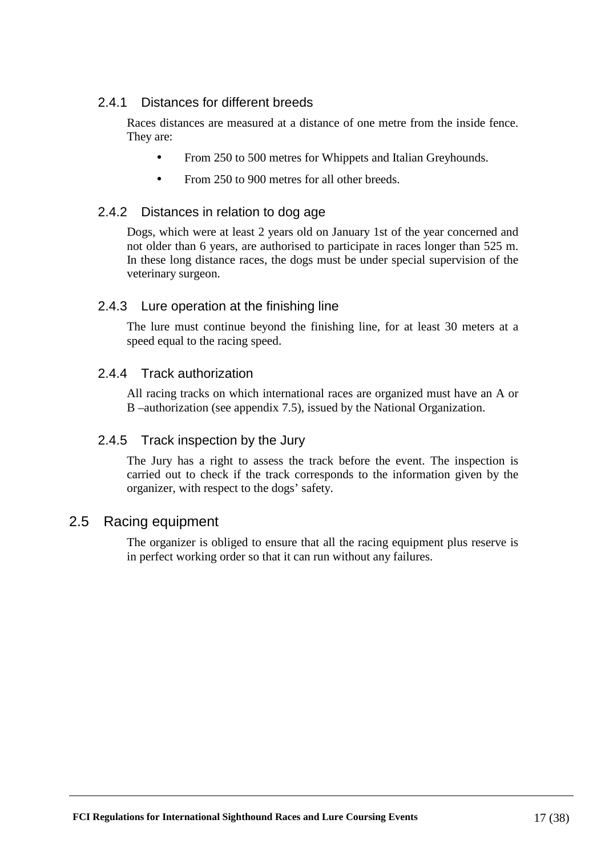#### 2.4.1 Distances for different breeds

Races distances are measured at a distance of one metre from the inside fence. They are:

- From 250 to 500 metres for Whippets and Italian Greyhounds.
- From 250 to 900 metres for all other breeds.

#### 2.4.2 Distances in relation to dog age

Dogs, which were at least 2 years old on January 1st of the year concerned and not older than 6 years, are authorised to participate in races longer than 525 m. In these long distance races, the dogs must be under special supervision of the veterinary surgeon.

#### 2.4.3 Lure operation at the finishing line

The lure must continue beyond the finishing line, for at least 30 meters at a speed equal to the racing speed.

#### 2.4.4 Track authorization

All racing tracks on which international races are organized must have an A or B –authorization (see appendix 7.5), issued by the National Organization.

#### 2.4.5 Track inspection by the Jury

The Jury has a right to assess the track before the event. The inspection is carried out to check if the track corresponds to the information given by the organizer, with respect to the dogs' safety.

#### 2.5 Racing equipment

The organizer is obliged to ensure that all the racing equipment plus reserve is in perfect working order so that it can run without any failures.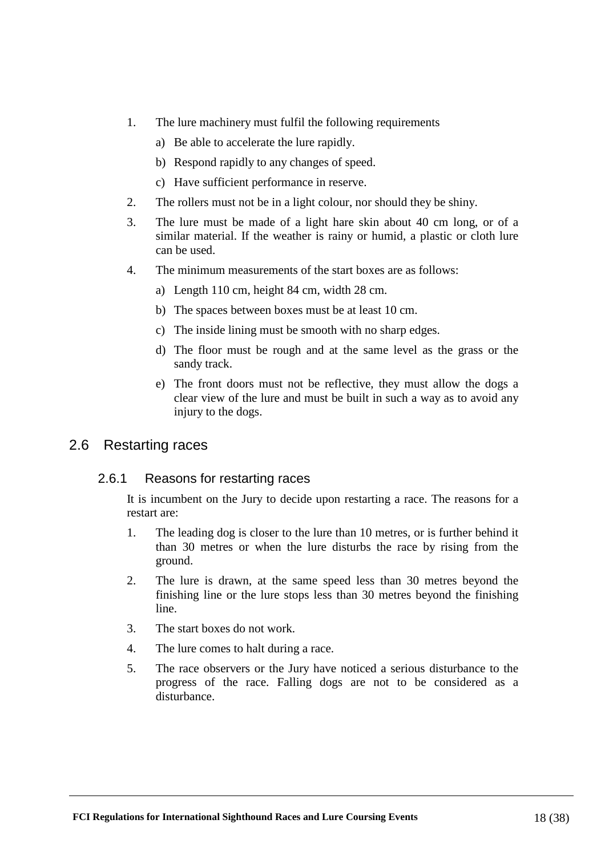- 1. The lure machinery must fulfil the following requirements
	- a) Be able to accelerate the lure rapidly.
	- b) Respond rapidly to any changes of speed.
	- c) Have sufficient performance in reserve.
- 2. The rollers must not be in a light colour, nor should they be shiny.
- 3. The lure must be made of a light hare skin about 40 cm long, or of a similar material. If the weather is rainy or humid, a plastic or cloth lure can be used.
- 4. The minimum measurements of the start boxes are as follows:
	- a) Length 110 cm, height 84 cm, width 28 cm.
	- b) The spaces between boxes must be at least 10 cm.
	- c) The inside lining must be smooth with no sharp edges.
	- d) The floor must be rough and at the same level as the grass or the sandy track.
	- e) The front doors must not be reflective, they must allow the dogs a clear view of the lure and must be built in such a way as to avoid any injury to the dogs.

#### 2.6 Restarting races

#### 2.6.1 Reasons for restarting races

It is incumbent on the Jury to decide upon restarting a race. The reasons for a restart are:

- 1. The leading dog is closer to the lure than 10 metres, or is further behind it than 30 metres or when the lure disturbs the race by rising from the ground.
- 2. The lure is drawn, at the same speed less than 30 metres beyond the finishing line or the lure stops less than 30 metres beyond the finishing line.
- 3. The start boxes do not work.
- 4. The lure comes to halt during a race.
- 5. The race observers or the Jury have noticed a serious disturbance to the progress of the race. Falling dogs are not to be considered as a disturbance.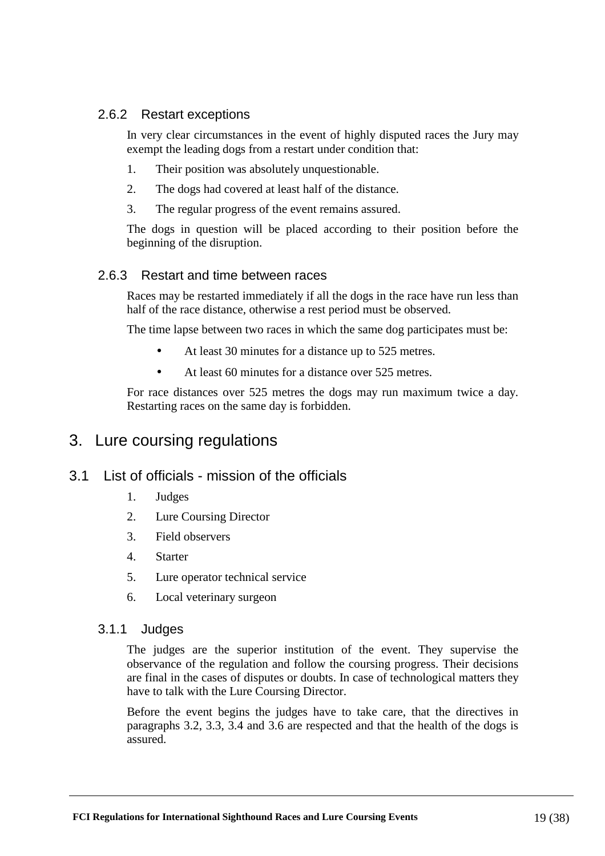#### 2.6.2 Restart exceptions

In very clear circumstances in the event of highly disputed races the Jury may exempt the leading dogs from a restart under condition that:

- 1. Their position was absolutely unquestionable.
- 2. The dogs had covered at least half of the distance.
- 3. The regular progress of the event remains assured.

The dogs in question will be placed according to their position before the beginning of the disruption.

#### 2.6.3 Restart and time between races

Races may be restarted immediately if all the dogs in the race have run less than half of the race distance, otherwise a rest period must be observed.

The time lapse between two races in which the same dog participates must be:

- At least 30 minutes for a distance up to 525 metres.
- At least 60 minutes for a distance over 525 metres.

For race distances over 525 metres the dogs may run maximum twice a day. Restarting races on the same day is forbidden.

# 3. Lure coursing regulations

#### 3.1 List of officials - mission of the officials

- 1. Judges
- 2. Lure Coursing Director
- 3. Field observers
- 4. Starter
- 5. Lure operator technical service
- 6. Local veterinary surgeon

#### 3.1.1 Judges

The judges are the superior institution of the event. They supervise the observance of the regulation and follow the coursing progress. Their decisions are final in the cases of disputes or doubts. In case of technological matters they have to talk with the Lure Coursing Director.

Before the event begins the judges have to take care, that the directives in paragraphs 3.2, 3.3, 3.4 and 3.6 are respected and that the health of the dogs is assured.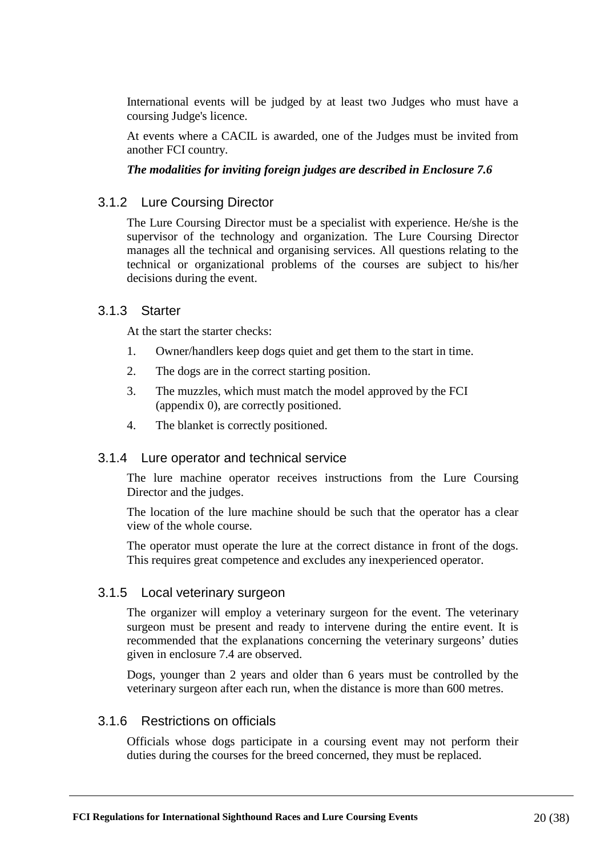International events will be judged by at least two Judges who must have a coursing Judge's licence.

At events where a CACIL is awarded, one of the Judges must be invited from another FCI country.

*The modalities for inviting foreign judges are described in Enclosure 7.6* 

#### 3.1.2 Lure Coursing Director

The Lure Coursing Director must be a specialist with experience. He/she is the supervisor of the technology and organization. The Lure Coursing Director manages all the technical and organising services. All questions relating to the technical or organizational problems of the courses are subject to his/her decisions during the event.

#### 3.1.3 Starter

At the start the starter checks:

- 1. Owner/handlers keep dogs quiet and get them to the start in time.
- 2. The dogs are in the correct starting position.
- 3. The muzzles, which must match the model approved by the FCI (appendix 0), are correctly positioned.
- 4. The blanket is correctly positioned.

#### 3.1.4 Lure operator and technical service

The lure machine operator receives instructions from the Lure Coursing Director and the judges.

The location of the lure machine should be such that the operator has a clear view of the whole course.

The operator must operate the lure at the correct distance in front of the dogs. This requires great competence and excludes any inexperienced operator.

#### 3.1.5 Local veterinary surgeon

The organizer will employ a veterinary surgeon for the event. The veterinary surgeon must be present and ready to intervene during the entire event. It is recommended that the explanations concerning the veterinary surgeons' duties given in enclosure 7.4 are observed.

Dogs, younger than 2 years and older than 6 years must be controlled by the veterinary surgeon after each run, when the distance is more than 600 metres.

#### 3.1.6 Restrictions on officials

Officials whose dogs participate in a coursing event may not perform their duties during the courses for the breed concerned, they must be replaced.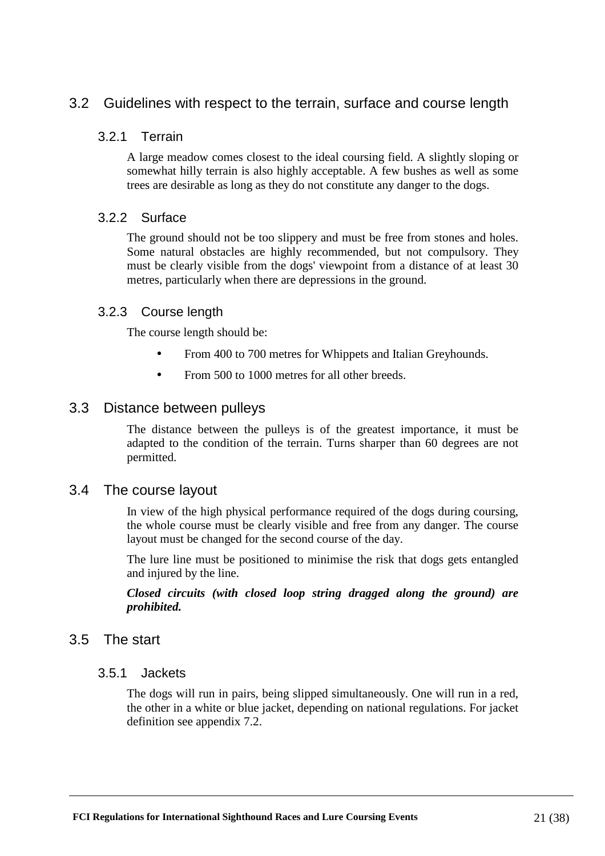# 3.2 Guidelines with respect to the terrain, surface and course length

#### 3.2.1 Terrain

A large meadow comes closest to the ideal coursing field. A slightly sloping or somewhat hilly terrain is also highly acceptable. A few bushes as well as some trees are desirable as long as they do not constitute any danger to the dogs.

#### 3.2.2 Surface

The ground should not be too slippery and must be free from stones and holes. Some natural obstacles are highly recommended, but not compulsory. They must be clearly visible from the dogs' viewpoint from a distance of at least 30 metres, particularly when there are depressions in the ground.

#### 3.2.3 Course length

The course length should be:

- From 400 to 700 metres for Whippets and Italian Greyhounds.
- From 500 to 1000 metres for all other breeds.

#### 3.3 Distance between pulleys

The distance between the pulleys is of the greatest importance, it must be adapted to the condition of the terrain. Turns sharper than 60 degrees are not permitted.

#### 3.4 The course layout

In view of the high physical performance required of the dogs during coursing, the whole course must be clearly visible and free from any danger. The course layout must be changed for the second course of the day.

The lure line must be positioned to minimise the risk that dogs gets entangled and injured by the line.

*Closed circuits (with closed loop string dragged along the ground) are prohibited.* 

#### 3.5 The start

#### 3.5.1 Jackets

The dogs will run in pairs, being slipped simultaneously. One will run in a red, the other in a white or blue jacket, depending on national regulations. For jacket definition see appendix 7.2.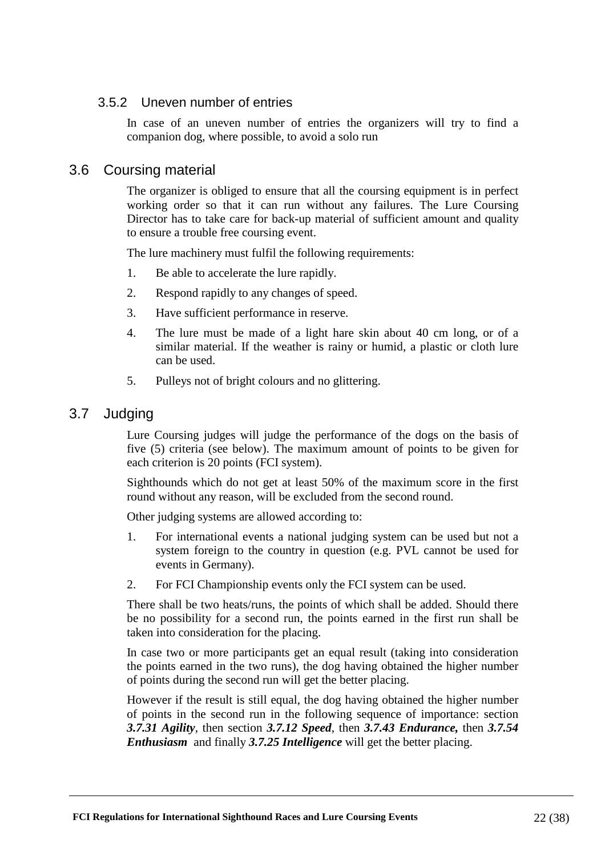#### 3.5.2 Uneven number of entries

In case of an uneven number of entries the organizers will try to find a companion dog, where possible, to avoid a solo run

### 3.6 Coursing material

The organizer is obliged to ensure that all the coursing equipment is in perfect working order so that it can run without any failures. The Lure Coursing Director has to take care for back-up material of sufficient amount and quality to ensure a trouble free coursing event.

The lure machinery must fulfil the following requirements:

- 1. Be able to accelerate the lure rapidly.
- 2. Respond rapidly to any changes of speed.
- 3. Have sufficient performance in reserve.
- 4. The lure must be made of a light hare skin about 40 cm long, or of a similar material. If the weather is rainy or humid, a plastic or cloth lure can be used.
- 5. Pulleys not of bright colours and no glittering.

### 3.7 Judging

Lure Coursing judges will judge the performance of the dogs on the basis of five (5) criteria (see below). The maximum amount of points to be given for each criterion is 20 points (FCI system).

Sighthounds which do not get at least 50% of the maximum score in the first round without any reason, will be excluded from the second round.

Other judging systems are allowed according to:

- 1. For international events a national judging system can be used but not a system foreign to the country in question (e.g. PVL cannot be used for events in Germany).
- 2. For FCI Championship events only the FCI system can be used.

There shall be two heats/runs, the points of which shall be added. Should there be no possibility for a second run, the points earned in the first run shall be taken into consideration for the placing.

In case two or more participants get an equal result (taking into consideration the points earned in the two runs), the dog having obtained the higher number of points during the second run will get the better placing.

However if the result is still equal, the dog having obtained the higher number of points in the second run in the following sequence of importance: section *3.7.31 Agility*, then section *3.7.12 Speed*, then *3.7.43 Endurance,* then *3.7.54 Enthusiasm* and finally *3.7.25 Intelligence* will get the better placing.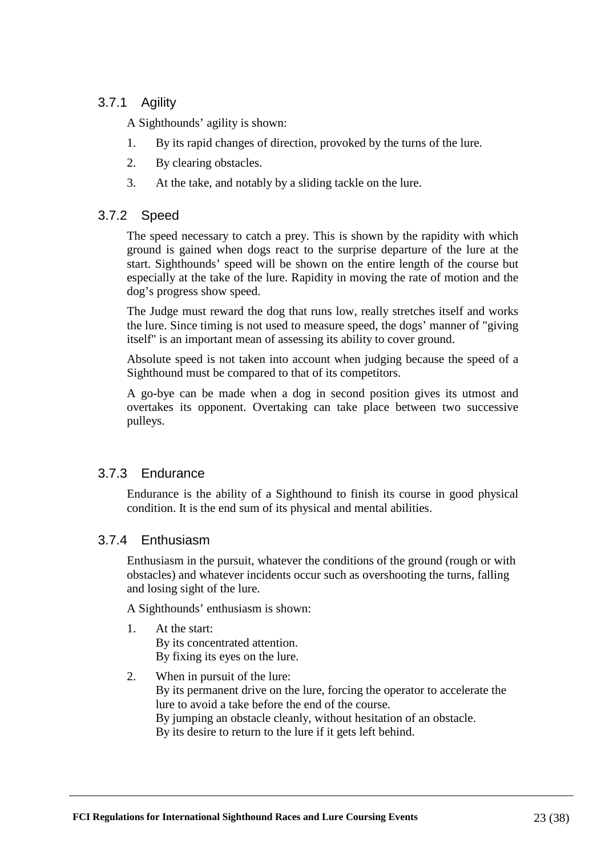# 3.7.1 Agility

A Sighthounds' agility is shown:

- 1. By its rapid changes of direction, provoked by the turns of the lure.
- 2. By clearing obstacles.
- 3. At the take, and notably by a sliding tackle on the lure.

#### 3.7.2 Speed

The speed necessary to catch a prey. This is shown by the rapidity with which ground is gained when dogs react to the surprise departure of the lure at the start. Sighthounds' speed will be shown on the entire length of the course but especially at the take of the lure. Rapidity in moving the rate of motion and the dog's progress show speed.

The Judge must reward the dog that runs low, really stretches itself and works the lure. Since timing is not used to measure speed, the dogs' manner of "giving itself" is an important mean of assessing its ability to cover ground.

Absolute speed is not taken into account when judging because the speed of a Sighthound must be compared to that of its competitors.

A go-bye can be made when a dog in second position gives its utmost and overtakes its opponent. Overtaking can take place between two successive pulleys.

#### 3.7.3 Endurance

Endurance is the ability of a Sighthound to finish its course in good physical condition. It is the end sum of its physical and mental abilities.

#### 3.7.4 Enthusiasm

Enthusiasm in the pursuit, whatever the conditions of the ground (rough or with obstacles) and whatever incidents occur such as overshooting the turns, falling and losing sight of the lure.

A Sighthounds' enthusiasm is shown:

- 1. At the start: By its concentrated attention. By fixing its eyes on the lure.
- 2. When in pursuit of the lure: By its permanent drive on the lure, forcing the operator to accelerate the lure to avoid a take before the end of the course. By jumping an obstacle cleanly, without hesitation of an obstacle. By its desire to return to the lure if it gets left behind.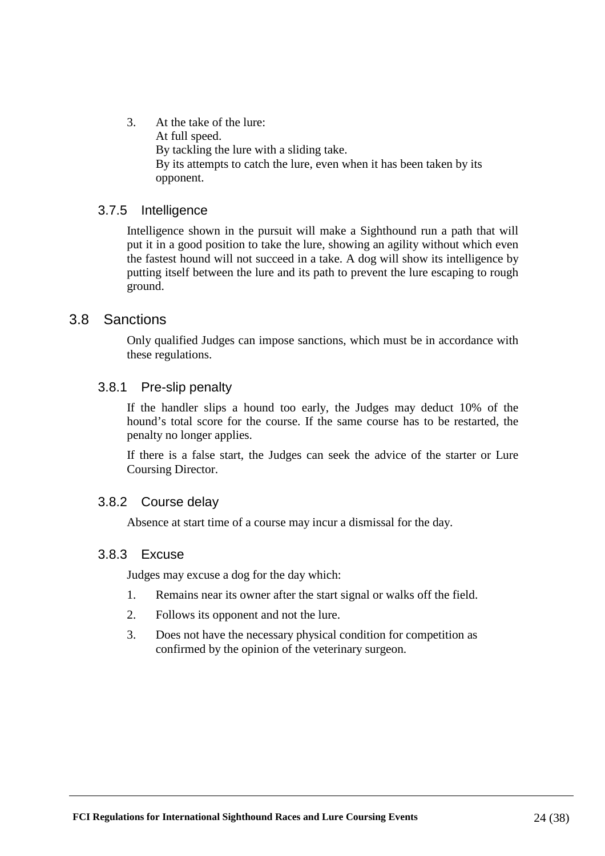- 3. At the take of the lure:
	- At full speed.

By tackling the lure with a sliding take.

By its attempts to catch the lure, even when it has been taken by its opponent.

#### 3.7.5 Intelligence

Intelligence shown in the pursuit will make a Sighthound run a path that will put it in a good position to take the lure, showing an agility without which even the fastest hound will not succeed in a take. A dog will show its intelligence by putting itself between the lure and its path to prevent the lure escaping to rough ground.

#### 3.8 Sanctions

Only qualified Judges can impose sanctions, which must be in accordance with these regulations.

#### 3.8.1 Pre-slip penalty

If the handler slips a hound too early, the Judges may deduct 10% of the hound's total score for the course. If the same course has to be restarted, the penalty no longer applies.

If there is a false start, the Judges can seek the advice of the starter or Lure Coursing Director.

#### 3.8.2 Course delay

Absence at start time of a course may incur a dismissal for the day.

#### 3.8.3 Excuse

Judges may excuse a dog for the day which:

- 1. Remains near its owner after the start signal or walks off the field.
- 2. Follows its opponent and not the lure.
- 3. Does not have the necessary physical condition for competition as confirmed by the opinion of the veterinary surgeon.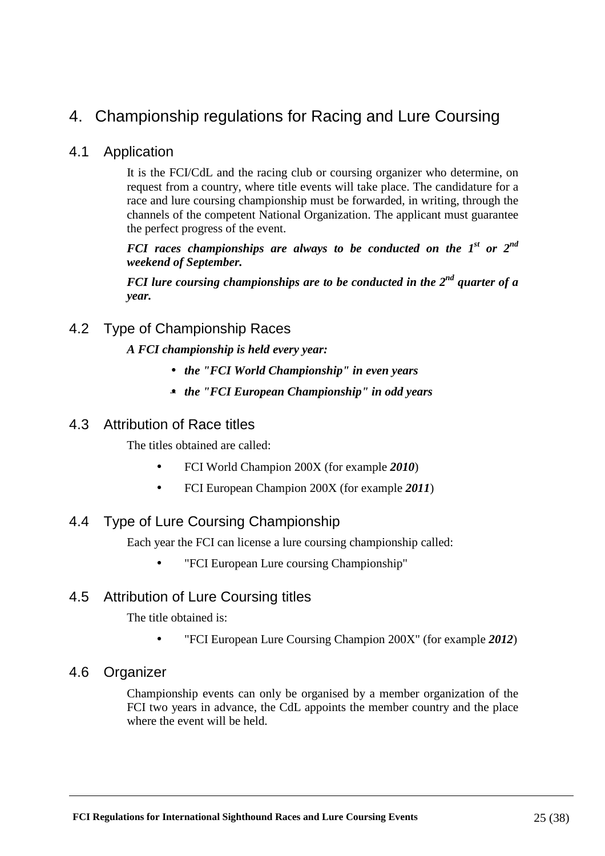# 4. Championship regulations for Racing and Lure Coursing

### 4.1 Application

It is the FCI/CdL and the racing club or coursing organizer who determine, on request from a country, where title events will take place. The candidature for a race and lure coursing championship must be forwarded, in writing, through the channels of the competent National Organization. The applicant must guarantee the perfect progress of the event.

*FCI races championships are always to be conducted on the 1st or 2nd weekend of September.* 

*FCI lure coursing championships are to be conducted in the 2nd quarter of a year.* 

# 4.2 Type of Championship Races

*A FCI championship is held every year:* 

- *the "FCI World Championship" in even years*
- *the "FCI European Championship" in odd years*

### 4.3 Attribution of Race titles

The titles obtained are called:

- FCI World Champion 200X (for example *2010*)
- FCI European Champion 200X (for example *2011*)

# 4.4 Type of Lure Coursing Championship

Each year the FCI can license a lure coursing championship called:

"FCI European Lure coursing Championship"

# 4.5 Attribution of Lure Coursing titles

The title obtained is:

• "FCI European Lure Coursing Champion 200X" (for example *2012*)

#### 4.6 Organizer

Championship events can only be organised by a member organization of the FCI two years in advance, the CdL appoints the member country and the place where the event will be held.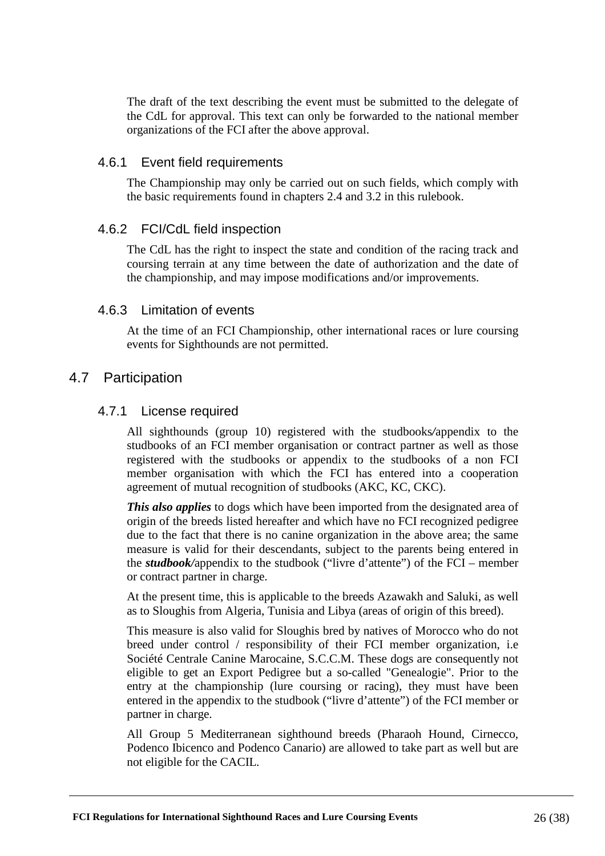The draft of the text describing the event must be submitted to the delegate of the CdL for approval. This text can only be forwarded to the national member organizations of the FCI after the above approval.

#### 4.6.1 Event field requirements

The Championship may only be carried out on such fields, which comply with the basic requirements found in chapters 2.4 and 3.2 in this rulebook.

#### 4.6.2 FCI/CdL field inspection

The CdL has the right to inspect the state and condition of the racing track and coursing terrain at any time between the date of authorization and the date of the championship, and may impose modifications and/or improvements.

#### 4.6.3 Limitation of events

At the time of an FCI Championship, other international races or lure coursing events for Sighthounds are not permitted.

#### 4.7 Participation

#### 4.7.1 License required

All sighthounds (group 10) registered with the studbooks*/*appendix to the studbooks of an FCI member organisation or contract partner as well as those registered with the studbooks or appendix to the studbooks of a non FCI member organisation with which the FCI has entered into a cooperation agreement of mutual recognition of studbooks (AKC, KC, CKC).

*This also applies* to dogs which have been imported from the designated area of origin of the breeds listed hereafter and which have no FCI recognized pedigree due to the fact that there is no canine organization in the above area; the same measure is valid for their descendants, subject to the parents being entered in the *studbook/*appendix to the studbook ("livre d'attente") of the FCI – member or contract partner in charge.

At the present time, this is applicable to the breeds Azawakh and Saluki, as well as to Sloughis from Algeria, Tunisia and Libya (areas of origin of this breed).

This measure is also valid for Sloughis bred by natives of Morocco who do not breed under control / responsibility of their FCI member organization, i.e Société Centrale Canine Marocaine, S.C.C.M. These dogs are consequently not eligible to get an Export Pedigree but a so-called "Genealogie". Prior to the entry at the championship (lure coursing or racing), they must have been entered in the appendix to the studbook ("livre d'attente") of the FCI member or partner in charge.

All Group 5 Mediterranean sighthound breeds (Pharaoh Hound, Cirnecco, Podenco Ibicenco and Podenco Canario) are allowed to take part as well but are not eligible for the CACIL.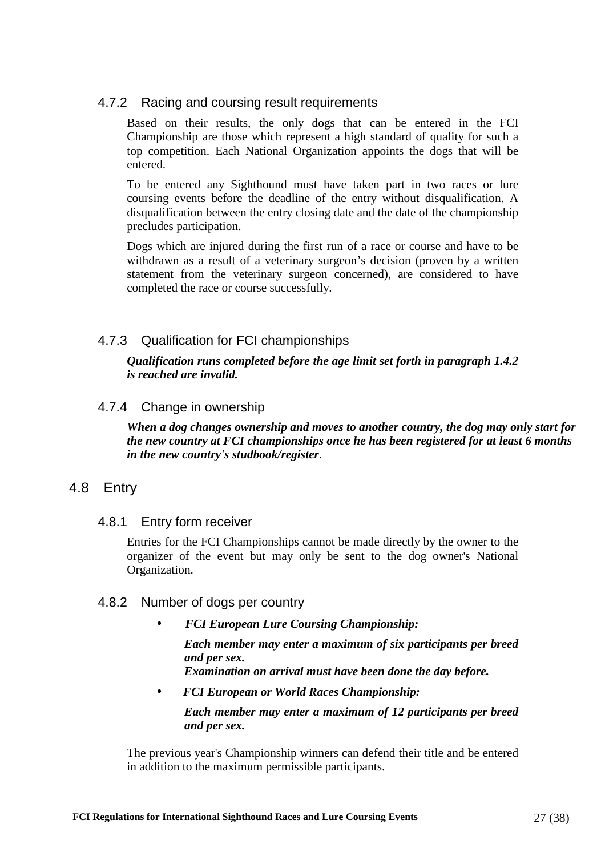#### 4.7.2 Racing and coursing result requirements

Based on their results, the only dogs that can be entered in the FCI Championship are those which represent a high standard of quality for such a top competition. Each National Organization appoints the dogs that will be entered.

To be entered any Sighthound must have taken part in two races or lure coursing events before the deadline of the entry without disqualification. A disqualification between the entry closing date and the date of the championship precludes participation.

Dogs which are injured during the first run of a race or course and have to be withdrawn as a result of a veterinary surgeon's decision (proven by a written statement from the veterinary surgeon concerned), are considered to have completed the race or course successfully.

#### 4.7.3 Qualification for FCI championships

*Qualification runs completed before the age limit set forth in paragraph 1.4.2 is reached are invalid.* 

#### 4.7.4 Change in ownership

*When a dog changes ownership and moves to another country, the dog may only start for the new country at FCI championships once he has been registered for at least 6 months in the new country's studbook/register*.

#### 4.8 Entry

#### 4.8.1 Entry form receiver

Entries for the FCI Championships cannot be made directly by the owner to the organizer of the event but may only be sent to the dog owner's National Organization.

#### 4.8.2 Number of dogs per country

• *FCI European Lure Coursing Championship:* 

*Each member may enter a maximum of six participants per breed and per sex.* 

*Examination on arrival must have been done the day before.* 

• *FCI European or World Races Championship:* 

*Each member may enter a maximum of 12 participants per breed and per sex.* 

The previous year's Championship winners can defend their title and be entered in addition to the maximum permissible participants.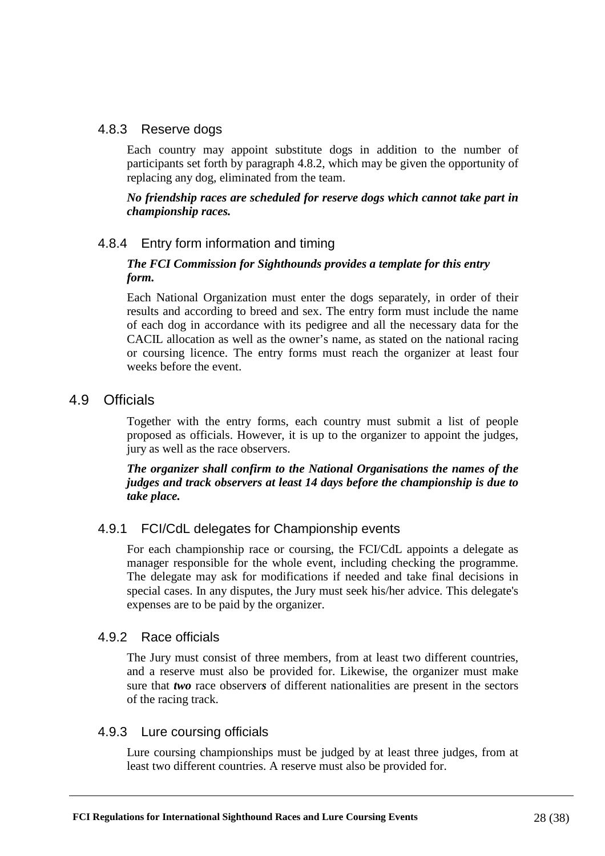#### 4.8.3 Reserve dogs

Each country may appoint substitute dogs in addition to the number of participants set forth by paragraph 4.8.2, which may be given the opportunity of replacing any dog, eliminated from the team.

#### *No friendship races are scheduled for reserve dogs which cannot take part in championship races.*

#### 4.8.4 Entry form information and timing

#### *The FCI Commission for Sighthounds provides a template for this entry form.*

Each National Organization must enter the dogs separately, in order of their results and according to breed and sex. The entry form must include the name of each dog in accordance with its pedigree and all the necessary data for the CACIL allocation as well as the owner's name, as stated on the national racing or coursing licence. The entry forms must reach the organizer at least four weeks before the event.

#### 4.9 Officials

Together with the entry forms, each country must submit a list of people proposed as officials. However, it is up to the organizer to appoint the judges, jury as well as the race observers.

*The organizer shall confirm to the National Organisations the names of the judges and track observers at least 14 days before the championship is due to take place.*

#### 4.9.1 FCI/CdL delegates for Championship events

For each championship race or coursing, the FCI/CdL appoints a delegate as manager responsible for the whole event, including checking the programme. The delegate may ask for modifications if needed and take final decisions in special cases. In any disputes, the Jury must seek his/her advice. This delegate's expenses are to be paid by the organizer.

#### 4.9.2 Race officials

The Jury must consist of three members, from at least two different countries, and a reserve must also be provided for. Likewise, the organizer must make sure that *two* race observer*s* of different nationalities are present in the sectors of the racing track.

#### 4.9.3 Lure coursing officials

Lure coursing championships must be judged by at least three judges, from at least two different countries. A reserve must also be provided for.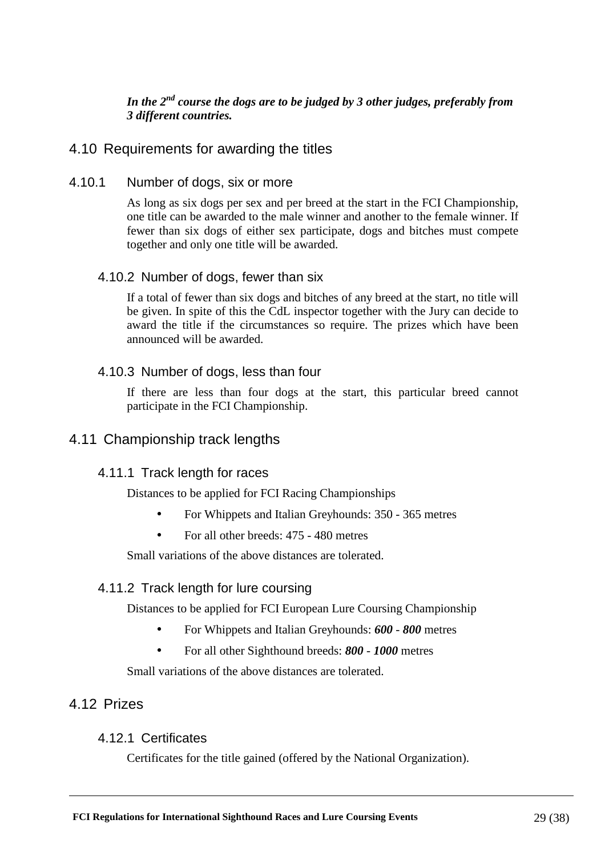#### *In the 2nd course the dogs are to be judged by 3 other judges, preferably from 3 different countries.*

### 4.10 Requirements for awarding the titles

#### 4.10.1 Number of dogs, six or more

As long as six dogs per sex and per breed at the start in the FCI Championship, one title can be awarded to the male winner and another to the female winner. If fewer than six dogs of either sex participate, dogs and bitches must compete together and only one title will be awarded.

#### 4.10.2 Number of dogs, fewer than six

If a total of fewer than six dogs and bitches of any breed at the start, no title will be given. In spite of this the CdL inspector together with the Jury can decide to award the title if the circumstances so require. The prizes which have been announced will be awarded.

#### 4.10.3 Number of dogs, less than four

If there are less than four dogs at the start, this particular breed cannot participate in the FCI Championship.

#### 4.11 Championship track lengths

#### 4.11.1 Track length for races

Distances to be applied for FCI Racing Championships

- For Whippets and Italian Greyhounds: 350 365 metres
- For all other breeds: 475 480 metres

Small variations of the above distances are tolerated.

#### 4.11.2 Track length for lure coursing

Distances to be applied for FCI European Lure Coursing Championship

- For Whippets and Italian Greyhounds: *600 800* metres
- For all other Sighthound breeds: *800 1000* metres

Small variations of the above distances are tolerated.

#### 4.12 Prizes

#### 4.12.1 Certificates

Certificates for the title gained (offered by the National Organization).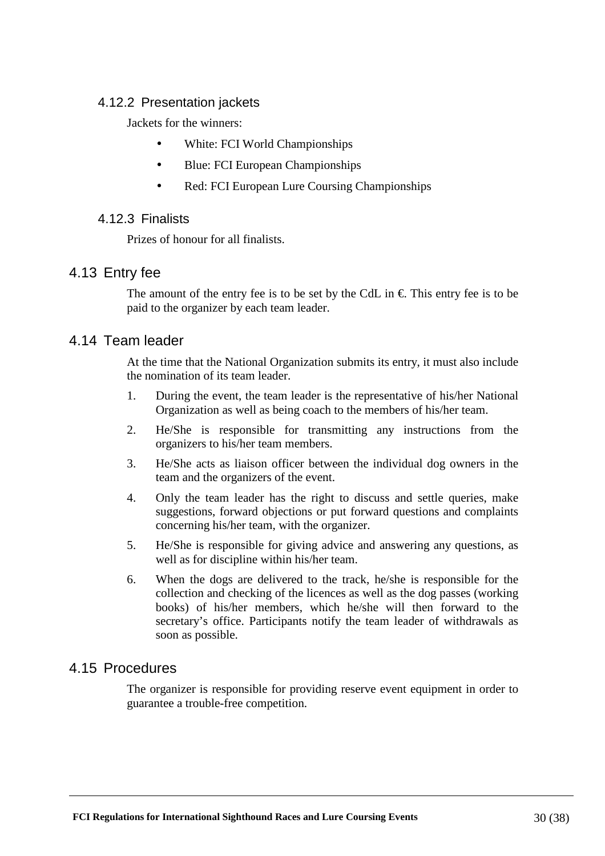#### 4.12.2 Presentation jackets

Jackets for the winners:

- White: FCI World Championships
- Blue: FCI European Championships
- Red: FCI European Lure Coursing Championships

#### 4.12.3 Finalists

Prizes of honour for all finalists.

#### 4.13 Entry fee

The amount of the entry fee is to be set by the CdL in  $\epsilon$ . This entry fee is to be paid to the organizer by each team leader.

#### 4.14 Team leader

At the time that the National Organization submits its entry, it must also include the nomination of its team leader.

- 1. During the event, the team leader is the representative of his/her National Organization as well as being coach to the members of his/her team.
- 2. He/She is responsible for transmitting any instructions from the organizers to his/her team members.
- 3. He/She acts as liaison officer between the individual dog owners in the team and the organizers of the event.
- 4. Only the team leader has the right to discuss and settle queries, make suggestions, forward objections or put forward questions and complaints concerning his/her team, with the organizer.
- 5. He/She is responsible for giving advice and answering any questions, as well as for discipline within his/her team.
- 6. When the dogs are delivered to the track, he/she is responsible for the collection and checking of the licences as well as the dog passes (working books) of his/her members, which he/she will then forward to the secretary's office. Participants notify the team leader of withdrawals as soon as possible.

#### 4.15 Procedures

The organizer is responsible for providing reserve event equipment in order to guarantee a trouble-free competition.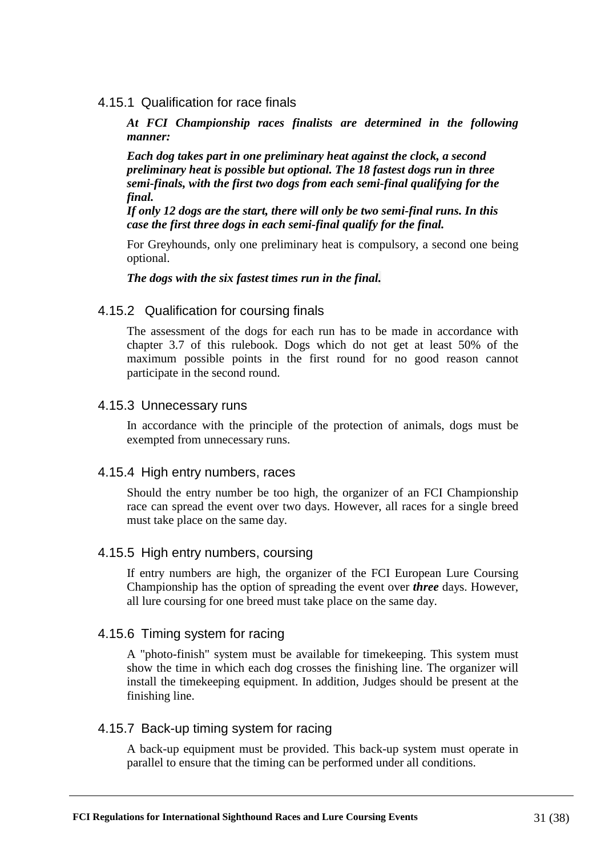#### 4.15.1 Qualification for race finals

*At FCI Championship races finalists are determined in the following manner:* 

*Each dog takes part in one preliminary heat against the clock, a second preliminary heat is possible but optional. The 18 fastest dogs run in three semi-finals, with the first two dogs from each semi-final qualifying for the final.* 

*If only 12 dogs are the start, there will only be two semi-final runs. In this case the first three dogs in each semi-final qualify for the final.* 

For Greyhounds, only one preliminary heat is compulsory, a second one being optional.

*The dogs with the six fastest times run in the final.* 

#### 4.15.2 Qualification for coursing finals

The assessment of the dogs for each run has to be made in accordance with chapter 3.7 of this rulebook. Dogs which do not get at least 50% of the maximum possible points in the first round for no good reason cannot participate in the second round.

#### 4.15.3 Unnecessary runs

In accordance with the principle of the protection of animals, dogs must be exempted from unnecessary runs.

#### 4.15.4 High entry numbers, races

Should the entry number be too high, the organizer of an FCI Championship race can spread the event over two days. However, all races for a single breed must take place on the same day.

#### 4.15.5 High entry numbers, coursing

If entry numbers are high, the organizer of the FCI European Lure Coursing Championship has the option of spreading the event over *three* days. However, all lure coursing for one breed must take place on the same day.

#### 4.15.6 Timing system for racing

A "photo-finish" system must be available for timekeeping. This system must show the time in which each dog crosses the finishing line. The organizer will install the timekeeping equipment. In addition, Judges should be present at the finishing line.

#### 4.15.7 Back-up timing system for racing

A back-up equipment must be provided. This back-up system must operate in parallel to ensure that the timing can be performed under all conditions.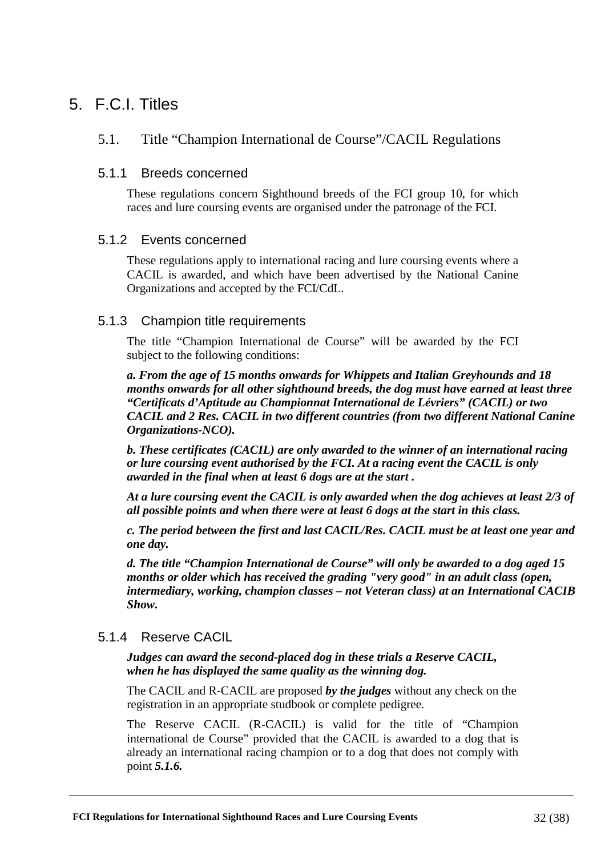# 5. F.C.I. Titles

### 5.1. Title "Champion International de Course"/CACIL Regulations

#### 5.1.1 Breeds concerned

These regulations concern Sighthound breeds of the FCI group 10, for which races and lure coursing events are organised under the patronage of the FCI.

#### 5.1.2 Events concerned

These regulations apply to international racing and lure coursing events where a CACIL is awarded, and which have been advertised by the National Canine Organizations and accepted by the FCI/CdL.

#### 5.1.3 Champion title requirements

The title "Champion International de Course" will be awarded by the FCI subject to the following conditions:

*a. From the age of 15 months onwards for Whippets and Italian Greyhounds and 18 months onwards for all other sighthound breeds, the dog must have earned at least three "Certificats d'Aptitude au Championnat International de Lévriers" (CACIL) or two CACIL and 2 Res. CACIL in two different countries (from two different National Canine Organizations-NCO).* 

*b. These certificates (CACIL) are only awarded to the winner of an international racing or lure coursing event authorised by the FCI. At a racing event the CACIL is only awarded in the final when at least 6 dogs are at the start .* 

*At a lure coursing event the CACIL is only awarded when the dog achieves at least 2/3 of all possible points and when there were at least 6 dogs at the start in this class.* 

*c. The period between the first and last CACIL/Res. CACIL must be at least one year and one day.* 

*d. The title "Champion International de Course" will only be awarded to a dog aged 15 months or older which has received the grading "very good" in an adult class (open, intermediary, working, champion classes – not Veteran class) at an International CACIB Show.* 

#### 5.1.4 Reserve CACIL

*Judges can award the second-placed dog in these trials a Reserve CACIL, when he has displayed the same quality as the winning dog.* 

The CACIL and R-CACIL are proposed *by the judges* without any check on the registration in an appropriate studbook or complete pedigree.

The Reserve CACIL (R-CACIL) is valid for the title of "Champion international de Course" provided that the CACIL is awarded to a dog that is already an international racing champion or to a dog that does not comply with point *5.1.6.*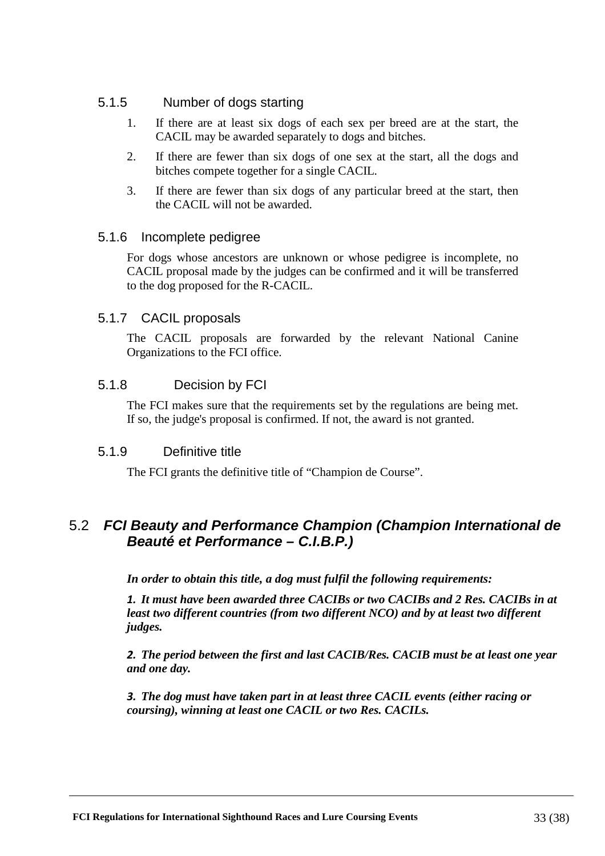#### 5.1.5 Number of dogs starting

- 1. If there are at least six dogs of each sex per breed are at the start, the CACIL may be awarded separately to dogs and bitches.
- 2. If there are fewer than six dogs of one sex at the start, all the dogs and bitches compete together for a single CACIL.
- 3. If there are fewer than six dogs of any particular breed at the start, then the CACIL will not be awarded.

#### 5.1.6 Incomplete pedigree

For dogs whose ancestors are unknown or whose pedigree is incomplete, no CACIL proposal made by the judges can be confirmed and it will be transferred to the dog proposed for the R-CACIL.

#### 5.1.7 CACIL proposals

The CACIL proposals are forwarded by the relevant National Canine Organizations to the FCI office.

#### 5.1.8 Decision by FCI

The FCI makes sure that the requirements set by the regulations are being met. If so, the judge's proposal is confirmed. If not, the award is not granted.

#### 5.1.9 Definitive title

The FCI grants the definitive title of "Champion de Course".

# 5.2 **FCI Beauty and Performance Champion (Champion International de Beauté et Performance – C.I.B.P.)**

*In order to obtain this title, a dog must fulfil the following requirements:* 

*1. It must have been awarded three CACIBs or two CACIBs and 2 Res. CACIBs in at least two different countries (from two different NCO) and by at least two different judges.* 

*2. The period between the first and last CACIB/Res. CACIB must be at least one year and one day.* 

*3. The dog must have taken part in at least three CACIL events (either racing or coursing), winning at least one CACIL or two Res. CACILs.*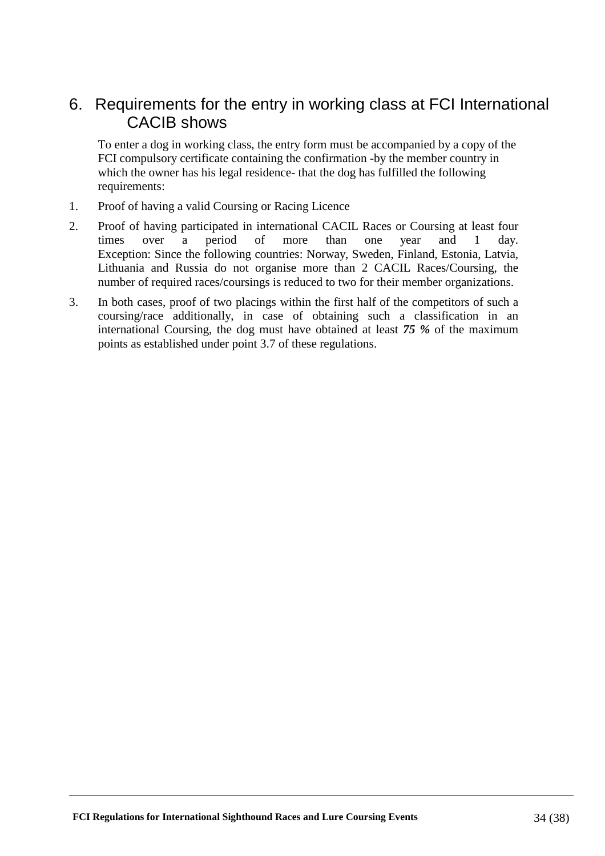# 6. Requirements for the entry in working class at FCI International CACIB shows

To enter a dog in working class, the entry form must be accompanied by a copy of the FCI compulsory certificate containing the confirmation -by the member country in which the owner has his legal residence- that the dog has fulfilled the following requirements:

- 1. Proof of having a valid Coursing or Racing Licence
- 2. Proof of having participated in international CACIL Races or Coursing at least four times over a period of more than one year and 1 day. Exception: Since the following countries: Norway, Sweden, Finland, Estonia, Latvia, Lithuania and Russia do not organise more than 2 CACIL Races/Coursing, the number of required races/coursings is reduced to two for their member organizations.
- 3. In both cases, proof of two placings within the first half of the competitors of such a coursing/race additionally, in case of obtaining such a classification in an international Coursing, the dog must have obtained at least *75 %* of the maximum points as established under point 3.7 of these regulations.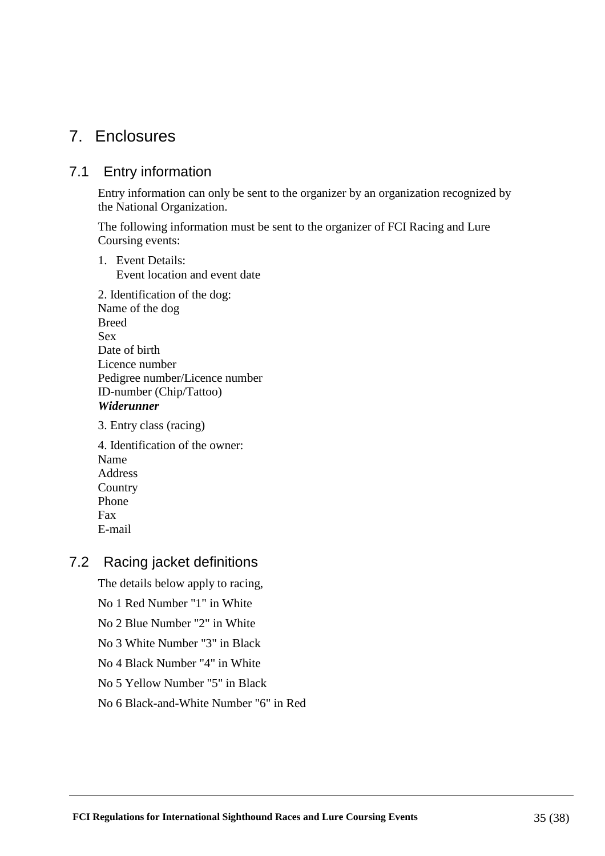# 7. Enclosures

### 7.1 Entry information

Entry information can only be sent to the organizer by an organization recognized by the National Organization.

The following information must be sent to the organizer of FCI Racing and Lure Coursing events:

1. Event Details: Event location and event date

2. Identification of the dog: Name of the dog Breed Sex Date of birth Licence number Pedigree number/Licence number ID-number (Chip/Tattoo) *Widerunner* 

3. Entry class (racing)

4. Identification of the owner: Name Address **Country** Phone Fax E-mail

# 7.2 Racing jacket definitions

The details below apply to racing,

No 1 Red Number "1" in White

No 2 Blue Number "2" in White

No 3 White Number "3" in Black

No 4 Black Number "4" in White

No 5 Yellow Number "5" in Black

No 6 Black-and-White Number "6" in Red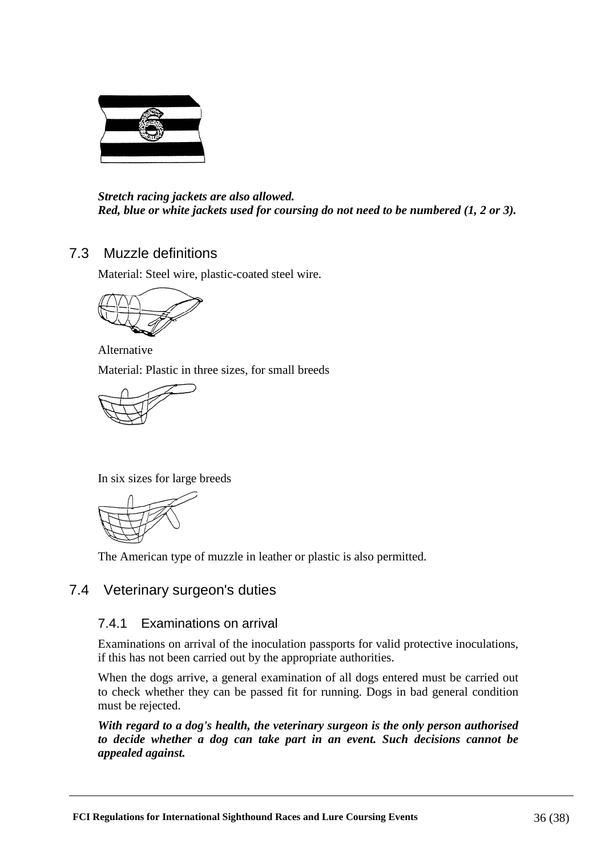

#### *Stretch racing jackets are also allowed. Red, blue or white jackets used for coursing do not need to be numbered (1, 2 or 3).*

# 7.3 Muzzle definitions

Material: Steel wire, plastic-coated steel wire.



Alternative Material: Plastic in three sizes, for small breeds



In six sizes for large breeds



The American type of muzzle in leather or plastic is also permitted.

# 7.4 Veterinary surgeon's duties

#### 7.4.1 Examinations on arrival

Examinations on arrival of the inoculation passports for valid protective inoculations, if this has not been carried out by the appropriate authorities.

When the dogs arrive, a general examination of all dogs entered must be carried out to check whether they can be passed fit for running. Dogs in bad general condition must be rejected.

*With regard to a dog's health, the veterinary surgeon is the only person authorised to decide whether a dog can take part in an event. Such decisions cannot be appealed against.*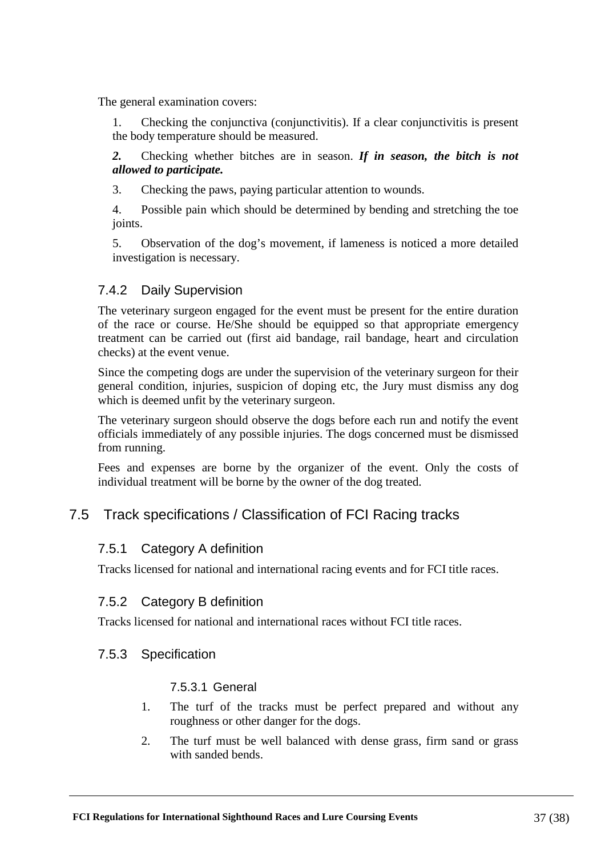The general examination covers:

1. Checking the conjunctiva (conjunctivitis). If a clear conjunctivitis is present the body temperature should be measured.

*2.* Checking whether bitches are in season. *If in season, the bitch is not allowed to participate.* 

3. Checking the paws, paying particular attention to wounds.

4. Possible pain which should be determined by bending and stretching the toe joints.

5. Observation of the dog's movement, if lameness is noticed a more detailed investigation is necessary.

#### 7.4.2 Daily Supervision

The veterinary surgeon engaged for the event must be present for the entire duration of the race or course. He/She should be equipped so that appropriate emergency treatment can be carried out (first aid bandage, rail bandage, heart and circulation checks) at the event venue.

Since the competing dogs are under the supervision of the veterinary surgeon for their general condition, injuries, suspicion of doping etc, the Jury must dismiss any dog which is deemed unfit by the veterinary surgeon.

The veterinary surgeon should observe the dogs before each run and notify the event officials immediately of any possible injuries. The dogs concerned must be dismissed from running.

Fees and expenses are borne by the organizer of the event. Only the costs of individual treatment will be borne by the owner of the dog treated.

# 7.5 Track specifications / Classification of FCI Racing tracks

#### 7.5.1 Category A definition

Tracks licensed for national and international racing events and for FCI title races.

#### 7.5.2 Category B definition

Tracks licensed for national and international races without FCI title races.

#### 7.5.3 Specification

#### 7.5.3.1 General

- 1. The turf of the tracks must be perfect prepared and without any roughness or other danger for the dogs.
- 2. The turf must be well balanced with dense grass, firm sand or grass with sanded bends.